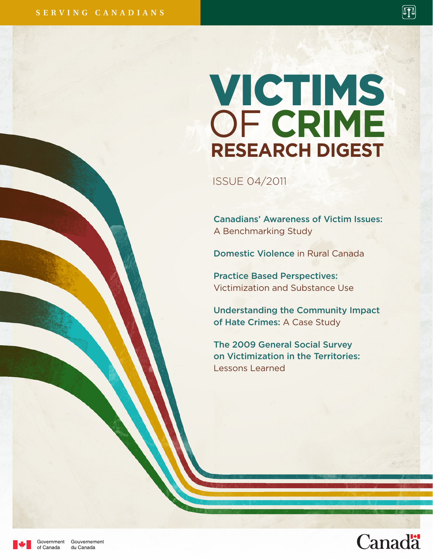# VICTIMS OF **CRIME RESEARCH DIGEST**

ISSUE 04/2011

Canadians' Awareness of Victim Issues: A Benchmarking Study

Domestic Violence in Rural Canada

Practice Based Perspectives: Victimization and Substance Use

Understanding the Community Impact of Hate Crimes: A Case Study

The 2009 General Social Survey on Victimization in the Territories: Lessons Learned



网



Government of Canada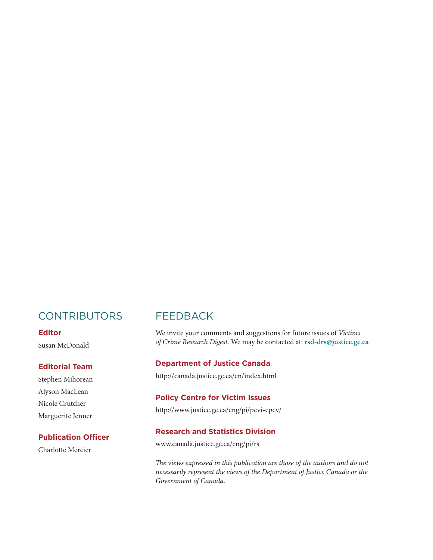## **CONTRIBUTORS**

#### **Editor**

Susan McDonald

#### **Editorial Team**

Stephen Mihorean Alyson MacLean Nicole Crutcher Marguerite Jenner

#### **Publication Officer**

Charlotte Mercier

## FEEDBACK

We invite your comments and suggestions for future issues of *Victims of Crime Research Digest*. We may be contacted at: **rsd-drs@justice.gc.ca**

#### **Department of Justice Canada**

http://canada.justice.gc.ca/en/index.html

#### **Policy Centre for Victim Issues**

http://www.justice.gc.ca/eng/pi/pcvi-cpcv/

#### **Research and Statistics Division**

www.canada.justice.gc.ca/eng/pi/rs

*The views expressed in this publication are those of the authors and do not necessarily represent the views of the Department of Justice Canada or the Government of Canada.*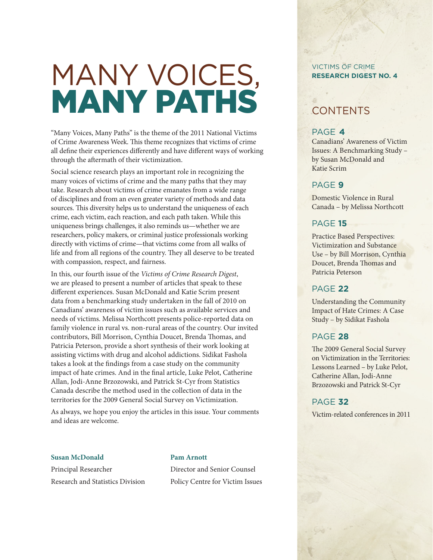# MANY VOICES, MANY PATHS

"Many Voices, Many Paths" is the theme of the 2011 National Victims of Crime Awareness Week. This theme recognizes that victims of crime all define their experiences differently and have different ways of working through the aftermath of their victimization.

Social science research plays an important role in recognizing the many voices of victims of crime and the many paths that they may take. Research about victims of crime emanates from a wide range of disciplines and from an even greater variety of methods and data sources. This diversity helps us to understand the uniqueness of each crime, each victim, each reaction, and each path taken. While this uniqueness brings challenges, it also reminds us—whether we are researchers, policy makers, or criminal justice professionals working directly with victims of crime—that victims come from all walks of life and from all regions of the country. They all deserve to be treated with compassion, respect, and fairness.

In this, our fourth issue of the *Victims of Crime Research Digest*, we are pleased to present a number of articles that speak to these different experiences. Susan McDonald and Katie Scrim present data from a benchmarking study undertaken in the fall of 2010 on Canadians' awareness of victim issues such as available services and needs of victims. Melissa Northcott presents police-reported data on family violence in rural vs. non-rural areas of the country. Our invited contributors, Bill Morrison, Cynthia Doucet, Brenda Thomas, and Patricia Peterson, provide a short synthesis of their work looking at assisting victims with drug and alcohol addictions. Sidikat Fashola takes a look at the findings from a case study on the community impact of hate crimes. And in the final article, Luke Pelot, Catherine Allan, Jodi-Anne Brzozowski, and Patrick St-Cyr from Statistics Canada describe the method used in the collection of data in the territories for the 2009 General Social Survey on Victimization.

As always, we hope you enjoy the articles in this issue. Your comments and ideas are welcome.

#### **Susan McDonald Pam Arnott**

Principal Researcher Director and Senior Counsel Research and Statistics Division Policy Centre for Victim Issues

#### VICTIMS OF CRIME **RESEARCH DIGEST NO. 4**

## **CONTENTS**

#### PAGE **4**

Canadians' Awareness of Victim Issues: A Benchmarking Study – by Susan McDonald and Katie Scrim

#### PAGE **9**

Domestic Violence in Rural Canada – by Melissa Northcott

#### PAGE **15**

Practice Based Perspectives: Victimization and Substance Use – by Bill Morrison, Cynthia Doucet, Brenda Thomas and Patricia Peterson

#### PAGE **22**

Understanding the Community Impact of Hate Crimes: A Case Study – by Sidikat Fashola

#### PAGE **28**

The 2009 General Social Survey on Victimization in the Territories: Lessons Learned – by Luke Pelot, Catherine Allan, Jodi-Anne Brzozowski and Patrick St-Cyr

#### PAGE **32**

Victim-related conferences in 2011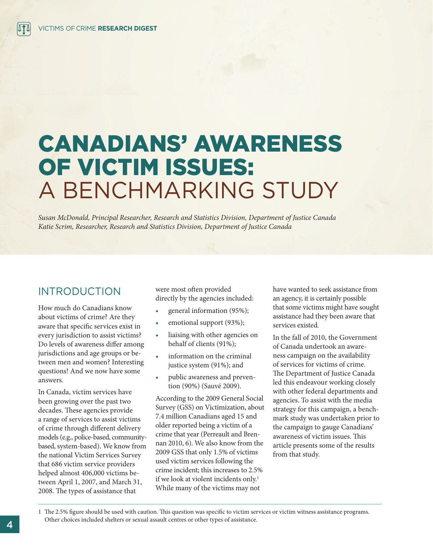## CANADIANS' AWARENESS OF VICTIM ISSUES: A BENCHMARKING STUDY

*Susan McDonald, Principal Researcher, Research and Statistics Division, Department of Justice Canada Katie Scrim, Researcher, Research and Statistics Division, Department of Justice Canada* 

### INTRODUCTION

How much do Canadians know about victims of crime? Are they aware that specific services exist in every jurisdiction to assist victims? Do levels of awareness differ among jurisdictions and age groups or between men and women? Interesting questions! And we now have some answers.

In Canada, victim services have been growing over the past two decades. These agencies provide a range of services to assist victims of crime through different delivery models (e.g., police-based, communitybased, system-based). We know from the national Victim Services Survey that 686 victim service providers helped almost 406,000 victims between April 1, 2007, and March 31, 2008. The types of assistance that

were most often provided directly by the agencies included:

- general information (95%);
- emotional support (93%);
- liaising with other agencies on behalf of clients (91%);
- information on the criminal justice system (91%); and
- public awareness and prevention (90%) (Sauvé 2009).

According to the 2009 General Social Survey (GSS) on Victimization, about 7.4 million Canadians aged 15 and older reported being a victim of a crime that year (Perreault and Brennan 2010, 6). We also know from the 2009 GSS that only 1.5% of victims used victim services following the crime incident; this increases to 2.5% if we look at violent incidents only.<sup>1</sup> While many of the victims may not

have wanted to seek assistance from an agency, it is certainly possible that some victims might have sought assistance had they been aware that services existed.

In the fall of 2010, the Government of Canada undertook an awareness campaign on the availability of services for victims of crime. The Department of Justice Canada led this endeavour working closely with other federal departments and agencies. To assist with the media strategy for this campaign, a benchmark study was undertaken prior to the campaign to gauge Canadians' awareness of victim issues. This article presents some of the results from that study.

1 The 2.5% figure should be used with caution. This question was specific to victim services or victim witness assistance programs. Other choices included shelters or sexual assault centres or other types of assistance.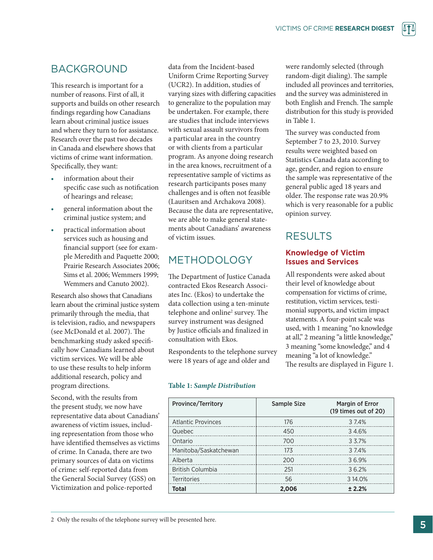## BACKGROUND

This research is important for a number of reasons. First of all, it supports and builds on other research findings regarding how Canadians learn about criminal justice issues and where they turn to for assistance. Research over the past two decades in Canada and elsewhere shows that victims of crime want information. Specifically, they want:

- information about their specific case such as notification of hearings and release;
- general information about the criminal justice system; and
- practical information about services such as housing and financial support (see for example Meredith and Paquette 2000; Prairie Research Associates 2006; Sims et al. 2006; Wemmers 1999; Wemmers and Canuto 2002).

Research also shows that Canadians learn about the criminal justice system primarily through the media, that is television, radio, and newspapers (see McDonald et al. 2007). The benchmarking study asked specifically how Canadians learned about victim services. We will be able to use these results to help inform additional research, policy and program directions.

Second, with the results from the present study, we now have representative data about Canadians' awareness of victim issues, including representation from those who have identified themselves as victims of crime. In Canada, there are two primary sources of data on victims of crime: self-reported data from the General Social Survey (GSS) on Victimization and police-reported

data from the Incident-based Uniform Crime Reporting Survey (UCR2). In addition, studies of varying sizes with differing capacities to generalize to the population may be undertaken. For example, there are studies that include interviews with sexual assault survivors from a particular area in the country or with clients from a particular program. As anyone doing research in the area knows, recruitment of a representative sample of victims as research participants poses many challenges and is often not feasible (Lauritsen and Archakova 2008). Because the data are representative, we are able to make general statements about Canadians' awareness of victim issues.

## METHODOLOGY

The Department of Justice Canada contracted Ekos Research Associates Inc. (Ekos) to undertake the data collection using a ten-minute telephone and online<sup>2</sup> survey. The survey instrument was designed by Justice officials and finalized in consultation with Ekos.

Respondents to the telephone survey were 18 years of age and older and

#### **Table 1:** *Sample Distribution*

| <b>Province/Territory</b> | <b>Sample Size</b> | <b>Margin of Error</b><br>(19 times out of 20) |
|---------------------------|--------------------|------------------------------------------------|
| <b>Atlantic Provinces</b> | 176                | 37.4%                                          |
| Quebec                    | 450                | 34.6%                                          |
| Ontario                   | 700                | 3 3.7%                                         |
| Manitoba/Saskatchewan     | 173                | 3 7.4%                                         |
| Alberta                   | 200                | 36.9%                                          |
| <b>British Columbia</b>   | 251                | 36.2%                                          |
| <b>Territories</b>        | 56                 | 3 14.0%                                        |
| <b>Total</b>              | 2,006              | ± 2.2%                                         |

were randomly selected (through random-digit dialing). The sample included all provinces and territories, and the survey was administered in both English and French. The sample distribution for this study is provided in Table 1.

The survey was conducted from September 7 to 23, 2010. Survey results were weighted based on Statistics Canada data according to age, gender, and region to ensure the sample was representative of the general public aged 18 years and older. The response rate was 20.9% which is very reasonable for a public opinion survey.

## RESULTS

#### **Knowledge of Victim Issues and Services**

All respondents were asked about their level of knowledge about compensation for victims of crime, restitution, victim services, testimonial supports, and victim impact statements. A four-point scale was used, with 1 meaning "no knowledge at all," 2 meaning "a little knowledge," 3 meaning "some knowledge," and 4 meaning "a lot of knowledge." The results are displayed in Figure 1.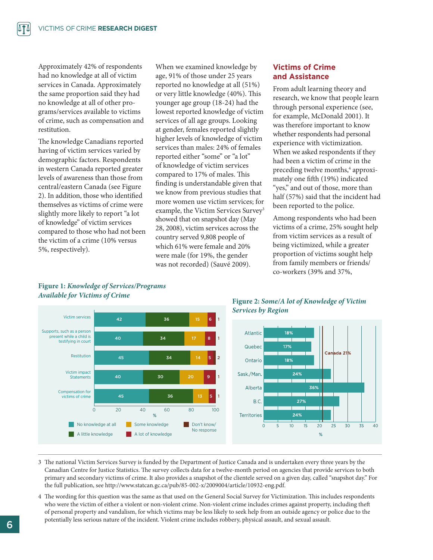Approximately 42% of respondents had no knowledge at all of victim services in Canada. Approximately the same proportion said they had no knowledge at all of other programs/services available to victims of crime, such as compensation and restitution.

The knowledge Canadians reported having of victim services varied by demographic factors. Respondents in western Canada reported greater levels of awareness than those from central/eastern Canada (see Figure 2). In addition, those who identified themselves as victims of crime were slightly more likely to report "a lot of knowledge" of victim services compared to those who had not been the victim of a crime (10% versus 5%, respectively).

When we examined knowledge by age, 91% of those under 25 years reported no knowledge at all (51%) or very little knowledge (40%). This younger age group (18-24) had the lowest reported knowledge of victim services of all age groups. Looking at gender, females reported slightly higher levels of knowledge of victim services than males: 24% of females reported either "some" or "a lot" of knowledge of victim services compared to 17% of males. This finding is understandable given that we know from previous studies that more women use victim services; for example, the Victim Services Survey<sup>3</sup> showed that on snapshot day (May 28, 2008), victim services across the country served 9,808 people of which 61% were female and 20% were male (for 19%, the gender was not recorded) (Sauvé 2009).

#### **Victims of Crime and Assistance**

From adult learning theory and research, we know that people learn through personal experience (see, for example, McDonald 2001). It was therefore important to know whether respondents had personal experience with victimization. When we asked respondents if they had been a victim of crime in the preceding twelve months,<sup>4</sup> approximately one fifth (19%) indicated "yes," and out of those, more than half (57%) said that the incident had been reported to the police.

Among respondents who had been victims of a crime, 25% sought help from victim services as a result of being victimized, while a greater proportion of victims sought help from family members or friends/ co-workers (39% and 37%,





**Figure 2:** *Some/A lot of Knowledge of Victim Services by Region*



- 3 The national Victim Services Survey is funded by the Department of Justice Canada and is undertaken every three years by the Canadian Centre for Justice Statistics. The survey collects data for a twelve-month period on agencies that provide services to both primary and secondary victims of crime. It also provides a snapshot of the clientele served on a given day, called "snapshot day." For the full publication, see http://www.statcan.gc.ca/pub/85-002-x/2009004/article/10932-eng.pdf.
- 4 The wording for this question was the same as that used on the General Social Survey for Victimization. This includes respondents who were the victim of either a violent or non-violent crime. Non-violent crime includes crimes against property, including theft of personal property and vandalism, for which victims may be less likely to seek help from an outside agency or police due to the potentially less serious nature of the incident. Violent crime includes robbery, physical assault, and sexual assault.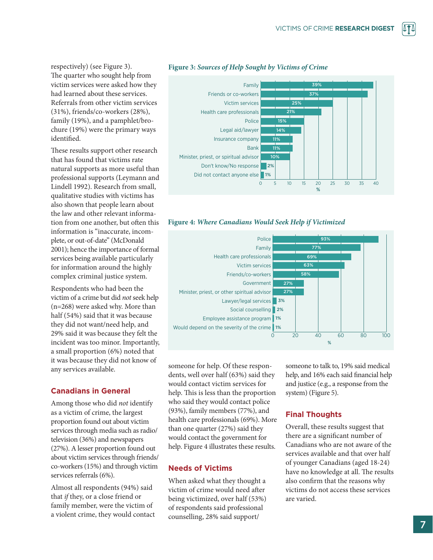respectively) (see Figure 3). The quarter who sought help from victim services were asked how they had learned about these services. Referrals from other victim services (31%), friends/co-workers (28%), family (19%), and a pamphlet/brochure (19%) were the primary ways identified.

These results support other research that has found that victims rate natural supports as more useful than professional supports (Leymann and Lindell 1992). Research from small, qualitative studies with victims has also shown that people learn about the law and other relevant information from one another, but often this information is "inaccurate, incomplete, or out-of-date" (McDonald 2001); hence the importance of formal services being available particularly for information around the highly complex criminal justice system.

Respondents who had been the victim of a crime but did *not* seek help (n=268) were asked why. More than half (54%) said that it was because they did not want/need help, and 29% said it was because they felt the incident was too minor. Importantly, a small proportion (6%) noted that it was because they did not know of any services available.

#### **Canadians in General**

Among those who did *not* identify as a victim of crime, the largest proportion found out about victim services through media such as radio/ television (36%) and newspapers (27%). A lesser proportion found out about victim services through friends/ co-workers (15%) and through victim services referrals (6%).

Almost all respondents (94%) said that *if* they, or a close friend or family member, were the victim of a violent crime, they would contact





#### **Figure 4:** *Where Canadians Would Seek Help if Victimized*



someone for help. Of these respondents, well over half (63%) said they would contact victim services for help. This is less than the proportion who said they would contact police (93%), family members (77%), and health care professionals (69%). More than one quarter (27%) said they would contact the government for help. Figure 4 illustrates these results.

#### **Needs of Victims**

When asked what they thought a victim of crime would need after being victimized, over half (53%) of respondents said professional counselling, 28% said support/

someone to talk to, 19% said medical help, and 16% each said financial help and justice (e.g., a response from the system) (Figure 5).

#### **Final Thoughts**

Overall, these results suggest that there are a significant number of Canadians who are not aware of the services available and that over half of younger Canadians (aged 18-24) have no knowledge at all. The results also confirm that the reasons why victims do not access these services are varied.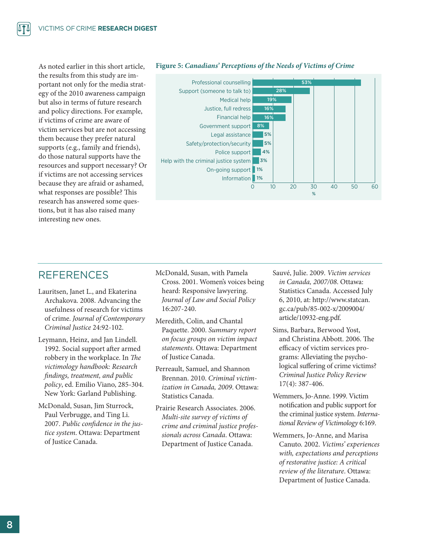As noted earlier in this short article, the results from this study are important not only for the media strategy of the 2010 awareness campaign but also in terms of future research and policy directions. For example, if victims of crime are aware of victim services but are not accessing them because they prefer natural supports (e.g., family and friends), do those natural supports have the resources and support necessary? Or if victims are not accessing services because they are afraid or ashamed, what responses are possible? This research has answered some questions, but it has also raised many interesting new ones.



#### **Figure 5:** *Canadians' Perceptions of the Needs of Victims of Crime*

## REFERENCES

- Lauritsen, Janet L., and Ekaterina Archakova. 2008. Advancing the usefulness of research for victims of crime. *Journal of Contemporary Criminal Justice* 24:92-102.
- Leymann, Heinz, and Jan Lindell. 1992. Social support after armed robbery in the workplace. In *The victimology handbook: Research findings, treatment, and public policy*, ed. Emilio Viano, 285-304. New York: Garland Publishing.
- McDonald, Susan, Jim Sturrock, Paul Verbrugge, and Ting Li. 2007. *Public confidence in the justice system*. Ottawa: Department of Justice Canada.
- McDonald, Susan, with Pamela Cross. 2001. Women's voices being heard: Responsive lawyering. *Journal of Law and Social Policy* 16:207-240.
- Meredith, Colin, and Chantal Paquette. 2000. *Summary report on focus groups on victim impact statements*. Ottawa: Department of Justice Canada.
- Perreault, Samuel, and Shannon Brennan. 2010. *Criminal victimization in Canada, 2009*. Ottawa: Statistics Canada.
- Prairie Research Associates. 2006. *Multi-site survey of victims of crime and criminal justice professionals across Canada*. Ottawa: Department of Justice Canada.
- Sauvé, Julie. 2009. *Victim services in Canada, 2007/08*. Ottawa: Statistics Canada. Accessed July 6, 2010, at: http://www.statcan. gc.ca/pub/85-002-x/2009004/ article/10932-eng.pdf.
- Sims, Barbara, Berwood Yost, and Christina Abbott. 2006. The efficacy of victim services programs: Alleviating the psychological suffering of crime victims? *Criminal Justice Policy Review* 17(4): 387-406.
- Wemmers, Jo-Anne. 1999. Victim notification and public support for the criminal justice system. *International Review of Victimology* 6:169.
- Wemmers, Jo-Anne, and Marisa Canuto. 2002. *Victims' experiences with, expectations and perceptions of restorative justice: A critical review of the literature*. Ottawa: Department of Justice Canada.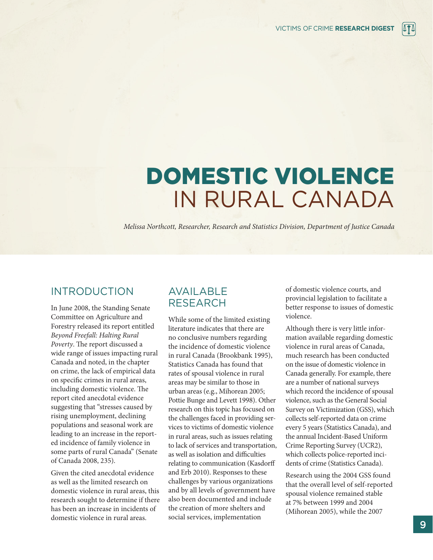## DOMESTIC VIOLENCE IN RURAL CANADA

*Melissa Northcott, Researcher, Research and Statistics Division, Department of Justice Canada*

## INTRODUCTION

In June 2008, the Standing Senate Committee on Agriculture and Forestry released its report entitled *Beyond Freefall: Halting Rural Poverty*. The report discussed a wide range of issues impacting rural Canada and noted, in the chapter on crime, the lack of empirical data on specific crimes in rural areas, including domestic violence. The report cited anecdotal evidence suggesting that "stresses caused by rising unemployment, declining populations and seasonal work are leading to an increase in the reported incidence of family violence in some parts of rural Canada" (Senate of Canada 2008, 235).

Given the cited anecdotal evidence as well as the limited research on domestic violence in rural areas, this research sought to determine if there has been an increase in incidents of domestic violence in rural areas.

## AVAILABLE RESEARCH

While some of the limited existing literature indicates that there are no conclusive numbers regarding the incidence of domestic violence in rural Canada (Brookbank 1995), Statistics Canada has found that rates of spousal violence in rural areas may be similar to those in urban areas (e.g., Mihorean 2005; Pottie Bunge and Levett 1998). Other research on this topic has focused on the challenges faced in providing services to victims of domestic violence in rural areas, such as issues relating to lack of services and transportation, as well as isolation and difficulties relating to communication (Kasdorff and Erb 2010). Responses to these challenges by various organizations and by all levels of government have also been documented and include the creation of more shelters and social services, implementation

of domestic violence courts, and provincial legislation to facilitate a better response to issues of domestic violence.

Although there is very little information available regarding domestic violence in rural areas of Canada, much research has been conducted on the issue of domestic violence in Canada generally. For example, there are a number of national surveys which record the incidence of spousal violence, such as the General Social Survey on Victimization (GSS), which collects self-reported data on crime every 5 years (Statistics Canada), and the annual Incident-Based Uniform Crime Reporting Survey (UCR2), which collects police-reported incidents of crime (Statistics Canada).

Research using the 2004 GSS found that the overall level of self-reported spousal violence remained stable at 7% between 1999 and 2004 (Mihorean 2005), while the 2007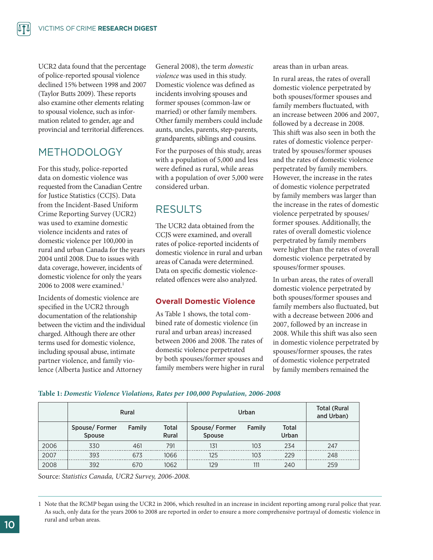UCR2 data found that the percentage of police-reported spousal violence declined 15% between 1998 and 2007 (Taylor Butts 2009). These reports also examine other elements relating to spousal violence, such as information related to gender, age and provincial and territorial differences.

## METHODOLOGY

For this study, police-reported data on domestic violence was requested from the Canadian Centre for Justice Statistics (CCJS). Data from the Incident-Based Uniform Crime Reporting Survey (UCR2) was used to examine domestic violence incidents and rates of domestic violence per 100,000 in rural and urban Canada for the years 2004 until 2008. Due to issues with data coverage, however, incidents of domestic violence for only the years 2006 to 2008 were examined.<sup>1</sup>

Incidents of domestic violence are specified in the UCR2 through documentation of the relationship between the victim and the individual charged. Although there are other terms used for domestic violence, including spousal abuse, intimate partner violence, and family violence (Alberta Justice and Attorney

General 2008), the term *domestic violence* was used in this study. Domestic violence was defined as incidents involving spouses and former spouses (common-law or married) or other family members. Other family members could include aunts, uncles, parents, step-parents, grandparents, siblings and cousins.

For the purposes of this study, areas with a population of 5,000 and less were defined as rural, while areas with a population of over 5,000 were considered urban.

## RESULTS

The UCR2 data obtained from the CCJS were examined, and overall rates of police-reported incidents of domestic violence in rural and urban areas of Canada were determined. Data on specific domestic violencerelated offences were also analyzed.

#### **Overall Domestic Violence**

As Table 1 shows, the total combined rate of domestic violence (in rural and urban areas) increased between 2006 and 2008. The rates of domestic violence perpetrated by both spouses/former spouses and family members were higher in rural areas than in urban areas.

In rural areas, the rates of overall domestic violence perpetrated by both spouses/former spouses and family members fluctuated, with an increase between 2006 and 2007, followed by a decrease in 2008. This shift was also seen in both the rates of domestic violence perpertrated by spouses/former spouses and the rates of domestic violence perpetrated by family members. However, the increase in the rates of domestic violence perpetrated by family members was larger than the increase in the rates of domestic violence perpetrated by spouses/ former spouses. Additionally, the rates of overall domestic violence perpetrated by family members were higher than the rates of overall domestic violence perpetrated by spouses/former spouses.

In urban areas, the rates of overall domestic violence perpetrated by both spouses/former spouses and family members also fluctuated, but with a decrease between 2006 and 2007, followed by an increase in 2008. While this shift was also seen in domestic violence perpetrated by spouses/former spouses, the rates of domestic violence perpetrated by family members remained the

#### **Table 1:** *Domestic Violence Violations, Rates per 100,000 Population, 2006-2008*

|      | Rural                   |        |                              | Urban                   | <b>Total (Rural</b><br>and Urban) |                       |     |
|------|-------------------------|--------|------------------------------|-------------------------|-----------------------------------|-----------------------|-----|
|      | Spouse/Former<br>Spouse | Family | <b>Total</b><br><b>Rural</b> | Spouse/Former<br>Spouse | Family                            | <b>Total</b><br>Urban |     |
| 2006 | 330                     | 461    | 791                          | 131                     | 103                               | 234                   | 247 |
| 2007 | 393                     | 673    | 1066                         | 125                     | 103                               | 229                   | 248 |
| 2008 | 392                     | 670    | 1062                         | 129                     | 111                               | 240                   | 259 |

Source: *Statistics Canada, UCR2 Survey, 2006-2008.*

<sup>1</sup> Note that the RCMP began using the UCR2 in 2006, which resulted in an increase in incident reporting among rural police that year. As such, only data for the years 2006 to 2008 are reported in order to ensure a more comprehensive portrayal of domestic violence in rural and urban areas.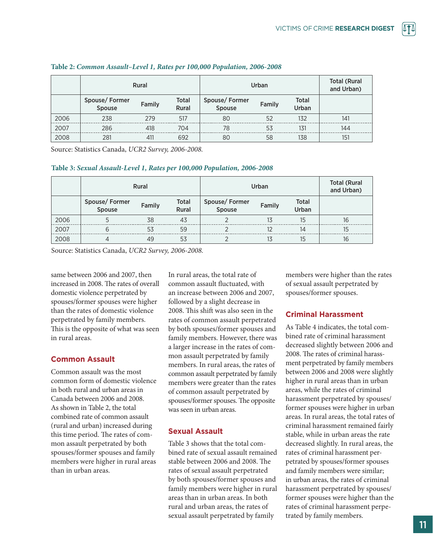|      | Rural                   |        |                       | Urban                             | <b>Total (Rural</b><br>and Urban) |                       |     |
|------|-------------------------|--------|-----------------------|-----------------------------------|-----------------------------------|-----------------------|-----|
|      | Spouse/Former<br>Spouse | Family | <b>Total</b><br>Rural | Spouse/Former<br>Spouse<br>Family |                                   | <b>Total</b><br>Urban |     |
| 2006 | 238                     | 279    | 517                   | 80                                | 52                                | 132                   | 141 |
| 2007 | 286                     | 418    | 704                   | 78                                | 53                                | 131                   | 144 |
| 2008 | 281                     | 411    | 692                   | 80                                | 58                                | 138                   | 151 |

#### **Table 2:** *Common Assault–Level 1, Rates per 100,000 Population, 2006-2008*

Source: Statistics Canada, *UCR2 Survey, 2006-2008.*

#### **Table 3:** *Sexual Assault-Level 1, Rates per 100,000 Population, 2006-2008*

|      | Rural                   |        |                       | Urban                   | <b>Total (Rural</b><br>and Urban) |    |    |
|------|-------------------------|--------|-----------------------|-------------------------|-----------------------------------|----|----|
|      | Spouse/Former<br>Spouse | Family | <b>Total</b><br>Rural | Spouse/Former<br>Spouse | Family                            |    |    |
| 2006 |                         | 38     | 4 <sup>3</sup>        |                         |                                   | 15 | 16 |
| 2007 |                         | 53     | 59                    |                         |                                   | 14 | 15 |
| 2008 |                         | 49     | 53                    |                         |                                   | 15 | 16 |

Source: Statistics Canada, *UCR2 Survey, 2006-2008.*

same between 2006 and 2007, then increased in 2008. The rates of overall domestic violence perpetrated by spouses/former spouses were higher than the rates of domestic violence perpetrated by family members. This is the opposite of what was seen in rural areas.

#### **Common Assault**

Common assault was the most common form of domestic violence in both rural and urban areas in Canada between 2006 and 2008. As shown in Table 2, the total combined rate of common assault (rural and urban) increased during this time period. The rates of common assault perpetrated by both spouses/former spouses and family members were higher in rural areas than in urban areas.

In rural areas, the total rate of common assault fluctuated, with an increase between 2006 and 2007, followed by a slight decrease in 2008. This shift was also seen in the rates of common assault perpetrated by both spouses/former spouses and family members. However, there was a larger increase in the rates of common assault perpetrated by family members. In rural areas, the rates of common assault perpetrated by family members were greater than the rates of common assault perpetrated by spouses/former spouses. The opposite was seen in urban areas.

#### **Sexual Assault**

Table 3 shows that the total combined rate of sexual assault remained stable between 2006 and 2008. The rates of sexual assault perpetrated by both spouses/former spouses and family members were higher in rural areas than in urban areas. In both rural and urban areas, the rates of sexual assault perpetrated by family

members were higher than the rates of sexual assault perpetrated by spouses/former spouses.

#### **Criminal Harassment**

As Table 4 indicates, the total combined rate of criminal harassment decreased slightly between 2006 and 2008. The rates of criminal harassment perpetrated by family members between 2006 and 2008 were slightly higher in rural areas than in urban areas, while the rates of criminal harassment perpetrated by spouses/ former spouses were higher in urban areas. In rural areas, the total rates of criminal harassment remained fairly stable, while in urban areas the rate decreased slightly. In rural areas, the rates of criminal harassment perpetrated by spouses/former spouses and family members were similar; in urban areas, the rates of criminal harassment perpetrated by spouses/ former spouses were higher than the rates of criminal harassment perpetrated by family members.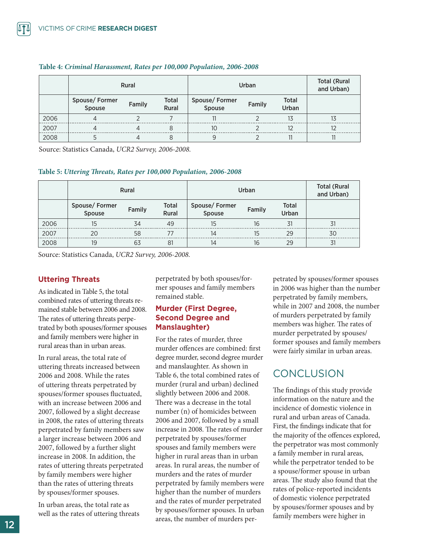|      | Rural                   |        |                       | Urban                             | <b>Total (Rural</b><br>and Urban) |                       |     |
|------|-------------------------|--------|-----------------------|-----------------------------------|-----------------------------------|-----------------------|-----|
|      | Spouse/Former<br>Spouse | Family | <b>Total</b><br>Rural | Spouse/Former<br>Spouse<br>Family |                                   | <b>Total</b><br>Urban |     |
| 2006 |                         |        |                       |                                   |                                   | 13                    | I.S |
| 2007 |                         |        |                       | 10                                |                                   |                       |     |
| 2008 |                         |        |                       |                                   |                                   |                       |     |

#### **Table 4:** *Criminal Harassment, Rates per 100,000 Population, 2006-2008*

Source: Statistics Canada, *UCR2 Survey, 2006-2008.*

#### **Table 5:** *Uttering Threats, Rates per 100,000 Population, 2006-2008*

|      |                         | <b>Rural</b> |                       | Urban                   | <b>Total (Rural</b><br>and Urban) |                       |    |
|------|-------------------------|--------------|-----------------------|-------------------------|-----------------------------------|-----------------------|----|
|      | Spouse/Former<br>Spouse | Family       | <b>Total</b><br>Rural | Spouse/Former<br>Spouse | Family                            | <b>Total</b><br>Urban |    |
| 2006 |                         | 34           | 49                    |                         | 16                                | 31                    |    |
| 2007 |                         | 58           |                       |                         |                                   | 29                    | 3C |
| 2008 | 19                      | 63           | 81                    | 14                      | 16                                | 29                    | 31 |

Source: Statistics Canada, *UCR2 Survey, 2006-2008.*

#### **Uttering Threats**

As indicated in Table 5, the total combined rates of uttering threats remained stable between 2006 and 2008. The rates of uttering threats perpetrated by both spouses/former spouses and family members were higher in rural areas than in urban areas.

In rural areas, the total rate of uttering threats increased between 2006 and 2008. While the rates of uttering threats perpetrated by spouses/former spouses fluctuated, with an increase between 2006 and 2007, followed by a slight decrease in 2008, the rates of uttering threats perpetrated by family members saw a larger increase between 2006 and 2007, followed by a further slight increase in 2008. In addition, the rates of uttering threats perpetrated by family members were higher than the rates of uttering threats by spouses/former spouses.

In urban areas, the total rate as well as the rates of uttering threats perpetrated by both spouses/former spouses and family members remained stable.

#### **Murder (First Degree, Second Degree and Manslaughter)**

For the rates of murder, three murder offences are combined: first degree murder, second degree murder and manslaughter. As shown in Table 6, the total combined rates of murder (rural and urban) declined slightly between 2006 and 2008. There was a decrease in the total number (n) of homicides between 2006 and 2007, followed by a small increase in 2008. The rates of murder perpetrated by spouses/former spouses and family members were higher in rural areas than in urban areas. In rural areas, the number of murders and the rates of murder perpetrated by family members were higher than the number of murders and the rates of murder perpetrated by spouses/former spouses. In urban areas, the number of murders perpetrated by spouses/former spouses in 2006 was higher than the number perpetrated by family members, while in 2007 and 2008, the number of murders perpetrated by family members was higher. The rates of murder perpetrated by spouses/ former spouses and family members were fairly similar in urban areas.

## **CONCLUSION**

The findings of this study provide information on the nature and the incidence of domestic violence in rural and urban areas of Canada. First, the findings indicate that for the majority of the offences explored, the perpetrator was most commonly a family member in rural areas, while the perpetrator tended to be a spouse/former spouse in urban areas. The study also found that the rates of police-reported incidents of domestic violence perpetrated by spouses/former spouses and by family members were higher in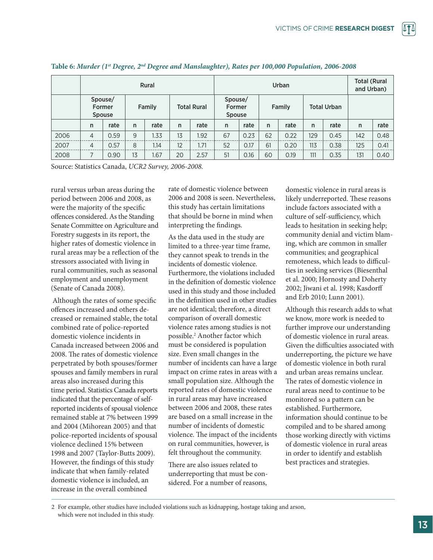|      | Rural                                     |      |              |        |                                                   | Urban |    |      |               |      |                    | <b>Total (Rural</b><br>and Urban) |              |      |
|------|-------------------------------------------|------|--------------|--------|---------------------------------------------------|-------|----|------|---------------|------|--------------------|-----------------------------------|--------------|------|
|      | Spouse/<br><b>Former</b><br><b>Spouse</b> |      |              | Family | Spouse/<br><b>Total Rural</b><br>Former<br>Spouse |       |    |      | <b>Family</b> |      | <b>Total Urban</b> |                                   |              |      |
|      | n                                         | rate | $\mathsf{n}$ | rate   | $\mathsf{n}$                                      | rate  | n  | rate | $\mathsf{n}$  | rate | n                  | rate                              | $\mathsf{n}$ | rate |
| 2006 | 4                                         | 0.59 | 9            | 1.33   | 13                                                | 1.92  | 67 | 0.23 | 62            | 0.22 | 129                | 0.45                              | 142          | 0.48 |
| 2007 | $\overline{4}$                            | 0.57 | 8            | 1.14   | 12                                                | 1.71  | 52 | 0.17 | 61            | 0.20 | 113                | 0.38                              | 125          | 0.41 |
| 2008 |                                           | 0.90 | 13           | 1.67   | 20                                                | 2.57  | 51 | 0.16 | 60            | 0.19 | 111                | 0.35                              | 131          | 0.40 |

#### Table 6: Murder (1<sup>st</sup> Degree, 2<sup>nd</sup> Degree and Manslaughter), Rates per 100,000 Population, 2006-2008

Source: Statistics Canada, *UCR2 Survey, 2006-2008.*

rural versus urban areas during the period between 2006 and 2008, as were the majority of the specific offences considered. As the Standing Senate Committee on Agriculture and Forestry suggests in its report, the higher rates of domestic violence in rural areas may be a reflection of the stressors associated with living in rural communities, such as seasonal employment and unemployment (Senate of Canada 2008).

 Although the rates of some specific offences increased and others decreased or remained stable, the total combined rate of police-reported domestic violence incidents in Canada increased between 2006 and 2008. The rates of domestic violence perpetrated by both spouses/former spouses and family members in rural areas also increased during this time period. Statistics Canada reports indicated that the percentage of selfreported incidents of spousal violence remained stable at 7% between 1999 and 2004 (Mihorean 2005) and that police-reported incidents of spousal violence declined 15% between 1998 and 2007 (Taylor-Butts 2009). However, the findings of this study indicate that when family-related domestic violence is included, an increase in the overall combined

rate of domestic violence between 2006 and 2008 is seen. Nevertheless, this study has certain limitations that should be borne in mind when interpreting the findings.

As the data used in the study are limited to a three-year time frame, they cannot speak to trends in the incidents of domestic violence. Furthermore, the violations included in the definition of domestic violence used in this study and those included in the definition used in other studies are not identical; therefore, a direct comparison of overall domestic violence rates among studies is not possible.2 Another factor which must be considered is population size. Even small changes in the number of incidents can have a large impact on crime rates in areas with a small population size. Although the reported rates of domestic violence in rural areas may have increased between 2006 and 2008, these rates are based on a small increase in the number of incidents of domestic violence. The impact of the incidents on rural communities, however, is felt throughout the community.

There are also issues related to underreporting that must be considered. For a number of reasons,

domestic violence in rural areas is likely underreported. These reasons include factors associated with a culture of self-sufficiency, which leads to hesitation in seeking help; community denial and victim blaming, which are common in smaller communities; and geographical remoteness, which leads to difficulties in seeking services (Biesenthal et al. 2000; Hornosty and Doherty 2002; Jiwani et al. 1998; Kasdorff and Erb 2010; Lunn 2001).

Although this research adds to what we know, more work is needed to further improve our understanding of domestic violence in rural areas. Given the difficulties associated with underreporting, the picture we have of domestic violence in both rural and urban areas remains unclear. The rates of domestic violence in rural areas need to continue to be monitored so a pattern can be established. Furthermore, information should continue to be compiled and to be shared among those working directly with victims of domestic violence in rural areas in order to identify and establish best practices and strategies.

<sup>2</sup> For example, other studies have included violations such as kidnapping, hostage taking and arson, which were not included in this study.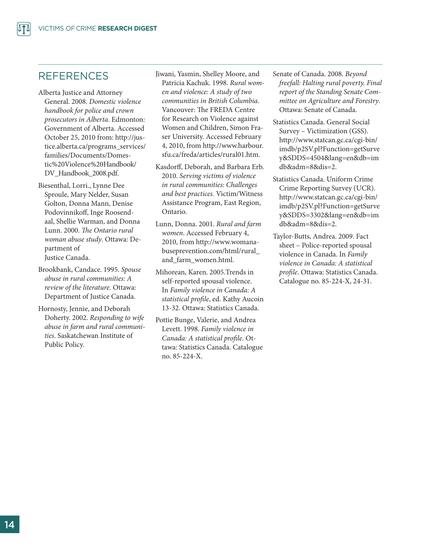### REFERENCES

- Alberta Justice and Attorney General. 2008. *Domestic violence handbook for police and crown prosecutors in Alberta*. Edmonton: Government of Alberta. Accessed October 25, 2010 from: http://justice.alberta.ca/programs\_services/ families/Documents/Domestic%20Violence%20Handbook/ DV\_Handbook\_2008.pdf.
- Biesenthal, Lorri., Lynne Dee Sproule, Mary Nelder, Susan Golton, Donna Mann, Denise Podovinnikoff, Inge Roosendaal, Shellie Warman, and Donna Lunn. 2000. *The Ontario rural woman abuse study*. Ottawa: Department of Justice Canada.
- Brookbank, Candace. 1995. *Spouse abuse in rural communities: A review of the literature*. Ottawa: Department of Justice Canada.
- Hornosty, Jennie, and Deborah Doherty. 2002. *Responding to wife abuse in farm and rural communities*. Saskatchewan Institute of Public Policy.

Jiwani, Yasmin, Shelley Moore, and Patricia Kachuk. 1998. *Rural women and violence: A study of two communities in British Columbia*. Vancouver: The FREDA Centre for Research on Violence against Women and Children, Simon Fraser University. Accessed February 4, 2010, from http://www.harbour. sfu.ca/freda/articles/rural01.htm.

- Kasdorff, Deborah, and Barbara Erb. 2010. *Serving victims of violence in rural communities: Challenges and best practices.* Victim/Witness Assistance Program, East Region, Ontario.
- Lunn, Donna. 2001. *Rural and farm women*. Accessed February 4, 2010, from http://www.womanabuseprevention.com/html/rural\_ and\_farm\_women.html.
- Mihorean, Karen. 2005.Trends in self-reported spousal violence. In *Family violence in Canada: A statistical profile*, ed. Kathy Aucoin 13-32. Ottawa: Statistics Canada.
- Pottie Bunge, Valerie, and Andrea Levett. 1998. *Family violence in Canada: A statistical profile*. Ottawa: Statistics Canada. Catalogue no. 85-224-X.
- Senate of Canada. 2008. *Beyond freefall: Halting rural poverty. Final report of the Standing Senate Committee on Agriculture and Forestry*. Ottawa: Senate of Canada.
- Statistics Canada. General Social Survey – Victimization (GSS). http://www.statcan.gc.ca/cgi-bin/ imdb/p2SV.pl?Function=getSurve y&SDDS=4504&lang=en&db=im db&adm=8&dis=2.
- Statistics Canada. Uniform Crime Crime Reporting Survey (UCR). http://www.statcan.gc.ca/cgi-bin/ imdb/p2SV.pl?Function=getSurve y&SDDS=3302&lang=en&db=im db&adm=8&dis=2.
- Taylor-Butts, Andrea. 2009. Fact sheet – Police-reported spousal violence in Canada. In *Family violence in Canada: A statistical profile*. Ottawa: Statistics Canada. Catalogue no. 85-224-X, 24-31.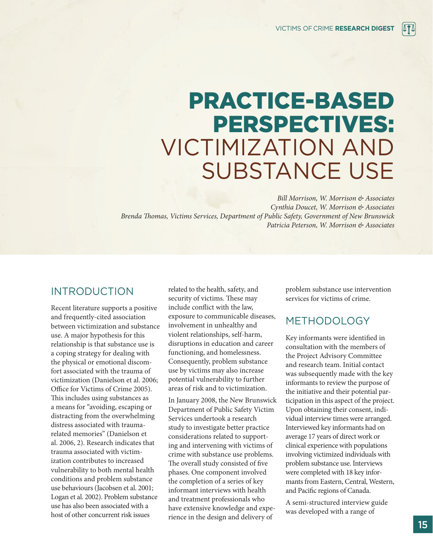## PRACTICE-BASED PERSPECTIVES: VICTIMIZATION AND SUBSTANCE USE

*Bill Morrison, W. Morrison & Associates Cynthia Doucet, W. Morrison & Associates Brenda Thomas, Victims Services, Department of Public Safety, Government of New Brunswick Patricia Peterson, W. Morrison & Associates*

## INTRODUCTION

Recent literature supports a positive and frequently-cited association between victimization and substance use. A major hypothesis for this relationship is that substance use is a coping strategy for dealing with the physical or emotional discomfort associated with the trauma of victimization (Danielson et al. 2006; Office for Victims of Crime 2005). This includes using substances as a means for "avoiding, escaping or distracting from the overwhelming distress associated with traumarelated memories" (Danielson et al. 2006, 2). Research indicates that trauma associated with victimization contributes to increased vulnerability to both mental health conditions and problem substance use behaviours (Jacobsen et al. 2001; Logan et al. 2002). Problem substance use has also been associated with a host of other concurrent risk issues

related to the health, safety, and security of victims. These may include conflict with the law, exposure to communicable diseases, involvement in unhealthy and violent relationships, self-harm, disruptions in education and career functioning, and homelessness. Consequently, problem substance use by victims may also increase potential vulnerability to further areas of risk and to victimization.

In January 2008, the New Brunswick Department of Public Safety Victim Services undertook a research study to investigate better practice considerations related to supporting and intervening with victims of crime with substance use problems. The overall study consisted of five phases. One component involved the completion of a series of key informant interviews with health and treatment professionals who have extensive knowledge and experience in the design and delivery of

problem substance use intervention services for victims of crime.

## METHODOLOGY

Key informants were identified in consultation with the members of the Project Advisory Committee and research team. Initial contact was subsequently made with the key informants to review the purpose of the initiative and their potential participation in this aspect of the project. Upon obtaining their consent, individual interview times were arranged. Interviewed key informants had on average 17 years of direct work or clinical experience with populations involving victimized individuals with problem substance use. Interviews were completed with 18 key informants from Eastern, Central, Western, and Pacific regions of Canada.

A semi-structured interview guide was developed with a range of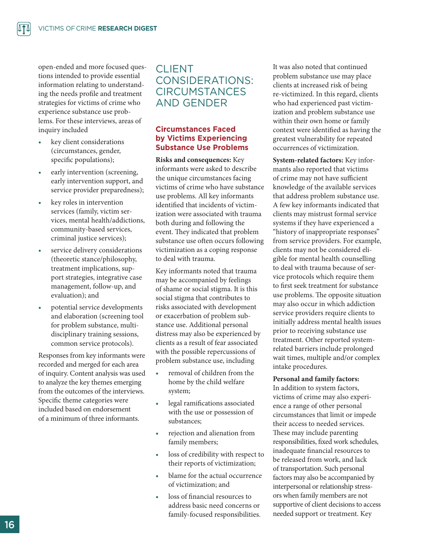open-ended and more focused questions intended to provide essential information relating to understanding the needs profile and treatment strategies for victims of crime who experience substance use problems. For these interviews, areas of inquiry included

- *•*  key client considerations (circumstances, gender, specific populations);
- early intervention (screening, early intervention support, and service provider preparedness);
- key roles in intervention services (family, victim services, mental health/addictions, community-based services, criminal justice services);
- service delivery considerations (theoretic stance/philosophy, treatment implications, support strategies, integrative case management, follow-up, and evaluation); and
- potential service developments and elaboration (screening tool for problem substance, multidisciplinary training sessions, common service protocols).

Responses from key informants were recorded and merged for each area of inquiry. Content analysis was used to analyze the key themes emerging from the outcomes of the interviews. Specific theme categories were included based on endorsement of a minimum of three informants.

## CLIENT CONSIDERATIONS: **CIRCUMSTANCES** AND GENDER

#### **Circumstances Faced by Victims Experiencing Substance Use Problems**

**Risks and consequences:** Key informants were asked to describe the unique circumstances facing victims of crime who have substance use problems. All key informants identified that incidents of victimization were associated with trauma both during and following the event. They indicated that problem substance use often occurs following victimization as a coping response to deal with trauma.

Key informants noted that trauma may be accompanied by feelings of shame or social stigma. It is this social stigma that contributes to risks associated with development or exacerbation of problem substance use. Additional personal distress may also be experienced by clients as a result of fear associated with the possible repercussions of problem substance use, including

- removal of children from the home by the child welfare system;
- *•*  legal ramifications associated with the use or possession of substances;
- *•*  rejection and alienation from family members;
- loss of credibility with respect to their reports of victimization;
- blame for the actual occurrence of victimization; and
- loss of financial resources to address basic need concerns or family-focused responsibilities.

It was also noted that continued problem substance use may place clients at increased risk of being re-victimized. In this regard, clients who had experienced past victimization and problem substance use within their own home or family context were identified as having the greatest vulnerability for repeated occurrences of victimization.

**System-related factors:** Key informants also reported that victims of crime may not have sufficient knowledge of the available services that address problem substance use. A few key informants indicated that clients may mistrust formal service systems if they have experienced a "history of inappropriate responses" from service providers. For example, clients may not be considered eligible for mental health counselling to deal with trauma because of service protocols which require them to first seek treatment for substance use problems. The opposite situation may also occur in which addiction service providers require clients to initially address mental health issues prior to receiving substance use treatment. Other reported systemrelated barriers include prolonged wait times, multiple and/or complex intake procedures.

#### **Personal and family factors:**

In addition to system factors, victims of crime may also experience a range of other personal circumstances that limit or impede their access to needed services. These may include parenting responsibilities, fixed work schedules, inadequate financial resources to be released from work, and lack of transportation. Such personal factors may also be accompanied by interpersonal or relationship stressors when family members are not supportive of client decisions to access needed support or treatment. Key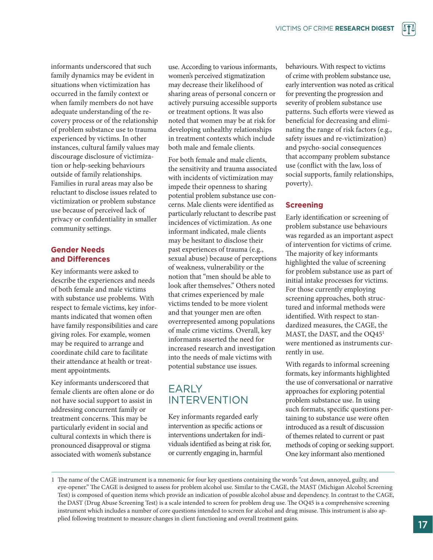informants underscored that such family dynamics may be evident in situations when victimization has occurred in the family context or when family members do not have adequate understanding of the recovery process or of the relationship of problem substance use to trauma experienced by victims. In other instances, cultural family values may discourage disclosure of victimization or help-seeking behaviours outside of family relationships. Families in rural areas may also be reluctant to disclose issues related to victimization or problem substance use because of perceived lack of privacy or confidentiality in smaller community settings.

#### **Gender Needs and Differences**

Key informants were asked to describe the experiences and needs of both female and male victims with substance use problems. With respect to female victims, key informants indicated that women often have family responsibilities and care giving roles. For example, women may be required to arrange and coordinate child care to facilitate their attendance at health or treatment appointments.

Key informants underscored that female clients are often alone or do not have social support to assist in addressing concurrent family or treatment concerns. This may be particularly evident in social and cultural contexts in which there is pronounced disapproval or stigma associated with women's substance

use. According to various informants, women's perceived stigmatization may decrease their likelihood of sharing areas of personal concern or actively pursuing accessible supports or treatment options. It was also noted that women may be at risk for developing unhealthy relationships in treatment contexts which include both male and female clients.

For both female and male clients, the sensitivity and trauma associated with incidents of victimization may impede their openness to sharing potential problem substance use concerns. Male clients were identified as particularly reluctant to describe past incidences of victimization. As one informant indicated, male clients may be hesitant to disclose their past experiences of trauma (e.g., sexual abuse) because of perceptions of weakness, vulnerability or the notion that "men should be able to look after themselves." Others noted that crimes experienced by male victims tended to be more violent and that younger men are often overrepresented among populations of male crime victims. Overall, key informants asserted the need for increased research and investigation into the needs of male victims with potential substance use issues.

## EARLY INTERVENTION

Key informants regarded early intervention as specific actions or interventions undertaken for individuals identified as being at risk for, or currently engaging in, harmful

behaviours. With respect to victims of crime with problem substance use, early intervention was noted as critical for preventing the progression and severity of problem substance use patterns. Such efforts were viewed as beneficial for decreasing and eliminating the range of risk factors (e.g., safety issues and re-victimization) and psycho-social consequences that accompany problem substance use (conflict with the law, loss of social supports, family relationships, poverty).

#### **Screening**

Early identification or screening of problem substance use behaviours was regarded as an important aspect of intervention for victims of crime. The majority of key informants highlighted the value of screening for problem substance use as part of initial intake processes for victims. For those currently employing screening approaches, both structured and informal methods were identified. With respect to standardized measures, the CAGE, the MAST, the DAST, and the OQ45<sup>1</sup> were mentioned as instruments currently in use.

With regards to informal screening formats, key informants highlighted the use of conversational or narrative approaches for exploring potential problem substance use. In using such formats, specific questions pertaining to substance use were often introduced as a result of discussion of themes related to current or past methods of coping or seeking support. One key informant also mentioned

<sup>1</sup> The name of the CAGE instrument is a mnemonic for four key questions containing the words "cut down, annoyed, guilty, and eye-opener." The CAGE is designed to assess for problem alcohol use. Similar to the CAGE, the MAST (Michigan Alcohol Screening Test) is composed of question items which provide an indication of possible alcohol abuse and dependency. In contrast to the CAGE, the DAST (Drug Abuse Screening Test) is a scale intended to screen for problem drug use. The OQ45 is a comprehensive screening instrument which includes a number of core questions intended to screen for alcohol and drug misuse. This instrument is also applied following treatment to measure changes in client functioning and overall treatment gains.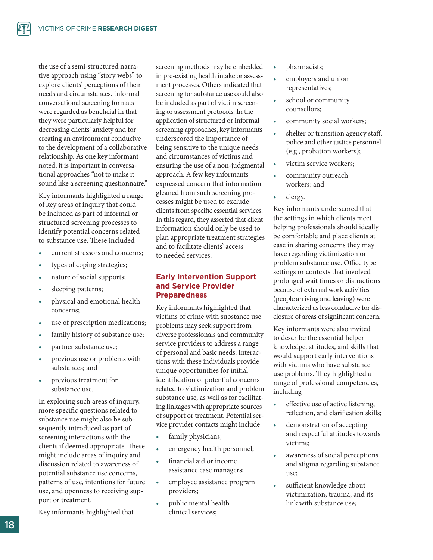the use of a semi-structured narrative approach using "story webs" to explore clients' perceptions of their needs and circumstances. Informal conversational screening formats were regarded as beneficial in that they were particularly helpful for decreasing clients' anxiety and for creating an environment conducive to the development of a collaborative relationship. As one key informant noted, it is important in conversational approaches "not to make it sound like a screening questionnaire."

Key informants highlighted a range of key areas of inquiry that could be included as part of informal or structured screening processes to identify potential concerns related to substance use. These included

- current stressors and concerns;
- types of coping strategies;
- nature of social supports;
- sleeping patterns;
- physical and emotional health concerns;
- use of prescription medications;
- family history of substance use;
- partner substance use;
- previous use or problems with substances; and
- previous treatment for substance use.

In exploring such areas of inquiry, more specific questions related to substance use might also be subsequently introduced as part of screening interactions with the clients if deemed appropriate. These might include areas of inquiry and discussion related to awareness of potential substance use concerns, patterns of use, intentions for future use, and openness to receiving support or treatment.

Key informants highlighted that

screening methods may be embedded in pre-existing health intake or assessment processes. Others indicated that screening for substance use could also be included as part of victim screening or assessment protocols. In the application of structured or informal screening approaches, key informants underscored the importance of being sensitive to the unique needs and circumstances of victims and ensuring the use of a non-judgmental approach. A few key informants expressed concern that information gleaned from such screening processes might be used to exclude clients from specific essential services. In this regard, they asserted that client information should only be used to plan appropriate treatment strategies and to facilitate clients' access to needed services.

#### **Early Intervention Support and Service Provider Preparedness**

Key informants highlighted that victims of crime with substance use problems may seek support from diverse professionals and community service providers to address a range of personal and basic needs. Interactions with these individuals provide unique opportunities for initial identification of potential concerns related to victimization and problem substance use, as well as for facilitating linkages with appropriate sources of support or treatment. Potential service provider contacts might include

- family physicians;
- emergency health personnel;
- financial aid or income assistance case managers;
- employee assistance program providers;
- public mental health clinical services;
- *•*  pharmacists;
- employers and union representatives;
- school or community counsellors;
- community social workers;
- shelter or transition agency staff; police and other justice personnel (e.g., probation workers);
- victim service workers;
- *•*  community outreach workers; and
- *•*  clergy.

Key informants underscored that the settings in which clients meet helping professionals should ideally be comfortable and place clients at ease in sharing concerns they may have regarding victimization or problem substance use. Office type settings or contexts that involved prolonged wait times or distractions because of external work activities (people arriving and leaving) were characterized as less conducive for disclosure of areas of significant concern.

Key informants were also invited to describe the essential helper knowledge, attitudes, and skills that would support early interventions with victims who have substance use problems. They highlighted a range of professional competencies, including

- *•*  effective use of active listening, reflection, and clarification skills;
- demonstration of accepting and respectful attitudes towards victims;
- awareness of social perceptions and stigma regarding substance use;
- sufficient knowledge about victimization, trauma, and its link with substance use;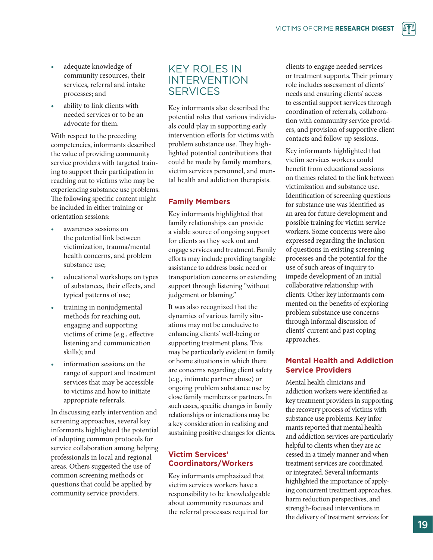- adequate knowledge of community resources, their services, referral and intake processes; and
- ability to link clients with needed services or to be an advocate for them.

With respect to the preceding competencies, informants described the value of providing community service providers with targeted training to support their participation in reaching out to victims who may be experiencing substance use problems. The following specific content might be included in either training or orientation sessions:

- awareness sessions on the potential link between victimization, trauma/mental health concerns, and problem substance use;
- educational workshops on types of substances, their effects, and typical patterns of use;
- training in nonjudgmental methods for reaching out, engaging and supporting victims of crime (e.g., effective listening and communication skills); and
- information sessions on the range of support and treatment services that may be accessible to victims and how to initiate appropriate referrals.

In discussing early intervention and screening approaches, several key informants highlighted the potential of adopting common protocols for service collaboration among helping professionals in local and regional areas. Others suggested the use of common screening methods or questions that could be applied by community service providers.

## KEY ROLES IN INTERVENTION SERVICES

Key informants also described the potential roles that various individuals could play in supporting early intervention efforts for victims with problem substance use. They highlighted potential contributions that could be made by family members, victim services personnel, and mental health and addiction therapists.

#### **Family Members**

Key informants highlighted that family relationships can provide a viable source of ongoing support for clients as they seek out and engage services and treatment. Family efforts may include providing tangible assistance to address basic need or transportation concerns or extending support through listening "without judgement or blaming."

It was also recognized that the dynamics of various family situations may not be conducive to enhancing clients' well-being or supporting treatment plans. This may be particularly evident in family or home situations in which there are concerns regarding client safety (e.g., intimate partner abuse) or ongoing problem substance use by close family members or partners. In such cases, specific changes in family relationships or interactions may be a key consideration in realizing and sustaining positive changes for clients.

#### **Victim Services' Coordinators/Workers**

Key informants emphasized that victim services workers have a responsibility to be knowledgeable about community resources and the referral processes required for

clients to engage needed services or treatment supports. Their primary role includes assessment of clients' needs and ensuring clients' access to essential support services through coordination of referrals, collaboration with community service providers, and provision of supportive client contacts and follow-up sessions.

Key informants highlighted that victim services workers could benefit from educational sessions on themes related to the link between victimization and substance use. Identification of screening questions for substance use was identified as an area for future development and possible training for victim service workers. Some concerns were also expressed regarding the inclusion of questions in existing screening processes and the potential for the use of such areas of inquiry to impede development of an initial collaborative relationship with clients. Other key informants commented on the benefits of exploring problem substance use concerns through informal discussion of clients' current and past coping approaches.

#### **Mental Health and Addiction Service Providers**

Mental health clinicians and addiction workers were identified as key treatment providers in supporting the recovery process of victims with substance use problems. Key informants reported that mental health and addiction services are particularly helpful to clients when they are accessed in a timely manner and when treatment services are coordinated or integrated. Several informants highlighted the importance of applying concurrent treatment approaches, harm reduction perspectives, and strength-focused interventions in the delivery of treatment services for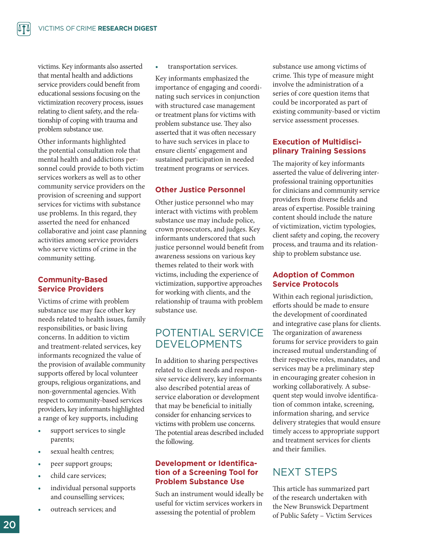victims. Key informants also asserted that mental health and addictions service providers could benefit from educational sessions focusing on the victimization recovery process, issues relating to client safety, and the relationship of coping with trauma and problem substance use.

Other informants highlighted the potential consultation role that mental health and addictions personnel could provide to both victim services workers as well as to other community service providers on the provision of screening and support services for victims with substance use problems. In this regard, they asserted the need for enhanced collaborative and joint case planning activities among service providers who serve victims of crime in the community setting.

#### **Community-Based Service Providers**

Victims of crime with problem substance use may face other key needs related to health issues, family responsibilities, or basic living concerns. In addition to victim and treatment-related services, key informants recognized the value of the provision of available community supports offered by local volunteer groups, religious organizations, and non-governmental agencies. With respect to community-based services providers, key informants highlighted a range of key supports, including

- support services to single parents;
- sexual health centres;
- peer support groups;
- child care services;
- individual personal supports and counselling services;
- outreach services; and

transportation services.

Key informants emphasized the importance of engaging and coordinating such services in conjunction with structured case management or treatment plans for victims with problem substance use. They also asserted that it was often necessary to have such services in place to ensure clients' engagement and sustained participation in needed treatment programs or services.

#### **Other Justice Personnel**

Other justice personnel who may interact with victims with problem substance use may include police, crown prosecutors, and judges. Key informants underscored that such justice personnel would benefit from awareness sessions on various key themes related to their work with victims, including the experience of victimization, supportive approaches for working with clients, and the relationship of trauma with problem substance use.

## POTENTIAL SERVICE DEVELOPMENTS

In addition to sharing perspectives related to client needs and responsive service delivery, key informants also described potential areas of service elaboration or development that may be beneficial to initially consider for enhancing services to victims with problem use concerns. The potential areas described included the following.

#### **Development or Identification of a Screening Tool for Problem Substance Use**

Such an instrument would ideally be useful for victim services workers in assessing the potential of problem

substance use among victims of crime. This type of measure might involve the administration of a series of core question items that could be incorporated as part of existing community-based or victim service assessment processes.

#### **Execution of Multidisciplinary Training Sessions**

The majority of key informants asserted the value of delivering interprofessional training opportunities for clinicians and community service providers from diverse fields and areas of expertise. Possible training content should include the nature of victimization, victim typologies, client safety and coping, the recovery process, and trauma and its relationship to problem substance use.

#### **Adoption of Common Service Protocols**

Within each regional jurisdiction, efforts should be made to ensure the development of coordinated and integrative case plans for clients. The organization of awareness forums for service providers to gain increased mutual understanding of their respective roles, mandates, and services may be a preliminary step in encouraging greater cohesion in working collaboratively. A subsequent step would involve identification of common intake, screening, information sharing, and service delivery strategies that would ensure timely access to appropriate support and treatment services for clients and their families.

## NEXT STEPS

This article has summarized part of the research undertaken with the New Brunswick Department of Public Safety – Victim Services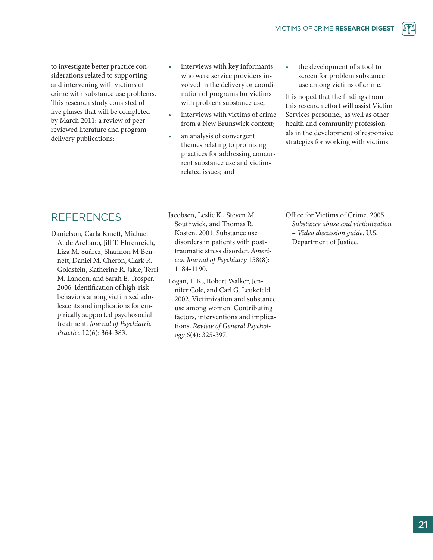to investigate better practice considerations related to supporting and intervening with victims of crime with substance use problems. This research study consisted of five phases that will be completed by March 2011: a review of peerreviewed literature and program delivery publications;

- interviews with key informants who were service providers involved in the delivery or coordination of programs for victims with problem substance use;
- *•*  interviews with victims of crime from a New Brunswick context;
- an analysis of convergent themes relating to promising practices for addressing concurrent substance use and victimrelated issues; and
- the development of a tool to screen for problem substance use among victims of crime.

It is hoped that the findings from this research effort will assist Victim Services personnel, as well as other health and community professionals in the development of responsive strategies for working with victims.

## **REFERENCES**

Danielson, Carla Kmett, Michael A. de Arellano, Jill T. Ehrenreich, Liza M. Suárez, Shannon M Bennett, Daniel M. Cheron, Clark R. Goldstein, Katherine R. Jakle, Terri M. Landon, and Sarah E. Trosper. 2006. Identification of high-risk behaviors among victimized adolescents and implications for empirically supported psychosocial treatment. *Journal of Psychiatric Practice* 12(6): 364-383.

Jacobsen, Leslie K., Steven M. Southwick, and Thomas R. Kosten. 2001. Substance use disorders in patients with posttraumatic stress disorder. *American Journal of Psychiatry* 158(8): 1184-1190.

Logan, T. K., Robert Walker, Jennifer Cole, and Carl G. Leukefeld. 2002. Victimization and substance use among women: Contributing factors, interventions and implications. *Review of General Psychology* 6(4): 325-397.

Office for Victims of Crime. 2005. *Substance abuse and victimization – Video discussion guide*. U.S. Department of Justice.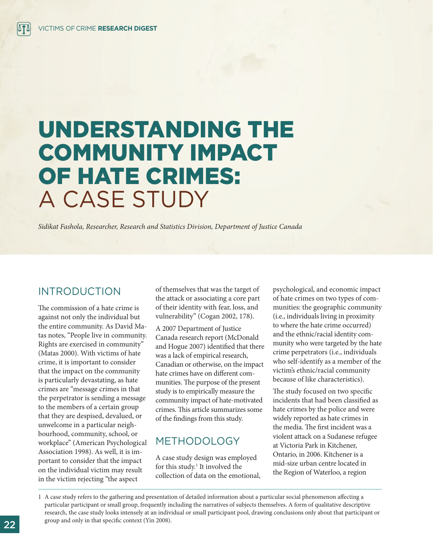## UNDERSTANDING THE COMMUNITY IMPACT OF HATE CRIMES: A CASE STUDY

*Sidikat Fashola, Researcher, Research and Statistics Division, Department of Justice Canada*

## INTRODUCTION

The commission of a hate crime is against not only the individual but the entire community. As David Matas notes, "People live in community. Rights are exercised in community" (Matas 2000). With victims of hate crime, it is important to consider that the impact on the community is particularly devastating, as hate crimes are "message crimes in that the perpetrator is sending a message to the members of a certain group that they are despised, devalued, or unwelcome in a particular neighbourhood, community, school, or workplace" (American Psychological Association 1998). As well, it is important to consider that the impact on the individual victim may result in the victim rejecting "the aspect

of themselves that was the target of the attack or associating a core part of their identity with fear, loss, and vulnerability" (Cogan 2002, 178).

A 2007 Department of Justice Canada research report (McDonald and Hogue 2007) identified that there was a lack of empirical research, Canadian or otherwise, on the impact hate crimes have on different communities. The purpose of the present study is to empirically measure the community impact of hate-motivated crimes. This article summarizes some of the findings from this study.

## METHODOLOGY

A case study design was employed for this study.<sup>1</sup> It involved the collection of data on the emotional, psychological, and economic impact of hate crimes on two types of communities: the geographic community (i.e., individuals living in proximity to where the hate crime occurred) and the ethnic/racial identity community who were targeted by the hate crime perpetrators (i.e., individuals who self-identify as a member of the victim's ethnic/racial community because of like characteristics).

The study focused on two specific incidents that had been classified as hate crimes by the police and were widely reported as hate crimes in the media. The first incident was a violent attack on a Sudanese refugee at Victoria Park in Kitchener, Ontario, in 2006. Kitchener is a mid-size urban centre located in the Region of Waterloo, a region

1 A case study refers to the gathering and presentation of detailed information about a particular social phenomenon affecting a particular participant or small group, frequently including the narratives of subjects themselves. A form of qualitative descriptive research, the case study looks intensely at an individual or small participant pool, drawing conclusions only about that participant or group and only in that specific context (Yin 2008).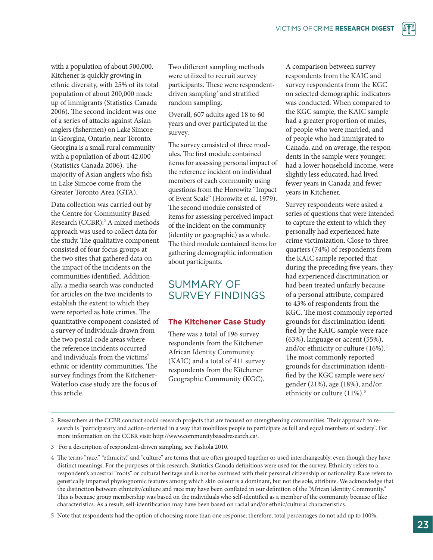with a population of about 500,000. Kitchener is quickly growing in ethnic diversity, with 25% of its total population of about 200,000 made up of immigrants (Statistics Canada 2006). The second incident was one of a series of attacks against Asian anglers (fishermen) on Lake Simcoe in Georgina, Ontario, near Toronto. Georgina is a small rural community with a population of about 42,000 (Statistics Canada 2006). The majority of Asian anglers who fish in Lake Simcoe come from the Greater Toronto Area (GTA).

Data collection was carried out by the Centre for Community Based Research (CCBR).<sup>2</sup> A mixed methods approach was used to collect data for the study. The qualitative component consisted of four focus groups at the two sites that gathered data on the impact of the incidents on the communities identified. Additionally, a media search was conducted for articles on the two incidents to establish the extent to which they were reported as hate crimes. The quantitative component consisted of a survey of individuals drawn from the two postal code areas where the reference incidents occurred and individuals from the victims' ethnic or identity communities. The survey findings from the Kitchener-Waterloo case study are the focus of this article.

Two different sampling methods were utilized to recruit survey participants. These were respondentdriven sampling<sup>3</sup> and stratified random sampling.

Overall, 607 adults aged 18 to 60 years and over participated in the survey.

The survey consisted of three modules. The first module contained items for assessing personal impact of the reference incident on individual members of each community using questions from the Horowitz "Impact of Event Scale" (Horowitz et al. 1979). The second module consisted of items for assessing perceived impact of the incident on the community (identity or geographic) as a whole. The third module contained items for gathering demographic information about participants.

## SUMMARY OF SURVEY FINDINGS

#### **The Kitchener Case Study**

There was a total of 196 survey respondents from the Kitchener African Identity Community (KAIC) and a total of 411 survey respondents from the Kitchener Geographic Community (KGC).

A comparison between survey respondents from the KAIC and survey respondents from the KGC on selected demographic indicators was conducted. When compared to the KGC sample, the KAIC sample had a greater proportion of males, of people who were married, and of people who had immigrated to Canada, and on average, the respondents in the sample were younger, had a lower household income, were slightly less educated, had lived fewer years in Canada and fewer years in Kitchener.

Survey respondents were asked a series of questions that were intended to capture the extent to which they personally had experienced hate crime victimization. Close to threequarters (74%) of respondents from the KAIC sample reported that during the preceding five years, they had experienced discrimination or had been treated unfairly because of a personal attribute, compared to 43% of respondents from the KGC. The most commonly reported grounds for discrimination identified by the KAIC sample were race (63%), language or accent (55%), and/or ethnicity or culture (16%).4 The most commonly reported grounds for discrimination identified by the KGC sample were sex/ gender (21%), age (18%), and/or ethnicity or culture (11%).<sup>5</sup>

2 Researchers at the CCBR conduct social research projects that are focused on strengthening communities. Their approach to research is "participatory and action-oriented in a way that mobilizes people to participate as full and equal members of society". For more information on the CCBR visit: http://www.communitybasedresearch.ca/.

3 For a description of respondent-driven sampling, see Fashola 2010.

4 The terms "race," "ethnicity," and "culture" are terms that are often grouped together or used interchangeably, even though they have distinct meanings. For the purposes of this research, Statistics Canada definitions were used for the survey. Ethnicity refers to a respondent's ancestral "roots" or cultural heritage and is not be confused with their personal citizenship or nationality. Race refers to genetically imparted physiognomic features among which skin colour is a dominant, but not the sole, attribute. We acknowledge that the distinction between ethnicity/culture and race may have been conflated in our definition of the "African Identity Community." This is because group membership was based on the individuals who self-identified as a member of the community because of like characteristics. As a result, self-identification may have been based on racial and/or ethnic/cultural characteristics.

5 Note that respondents had the option of choosing more than one response; therefore, total percentages do not add up to 100%.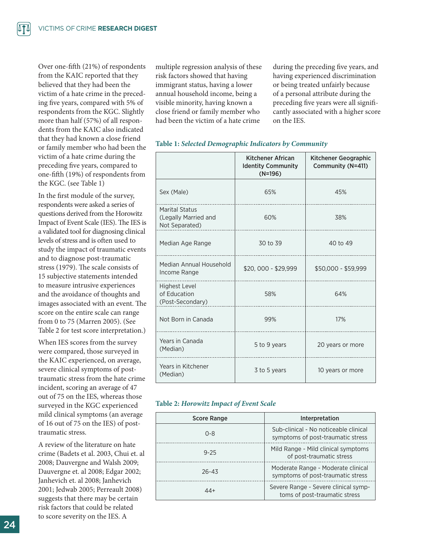Over one-fifth (21%) of respondents from the KAIC reported that they believed that they had been the victim of a hate crime in the preceding five years, compared with 5% of respondents from the KGC. Slightly more than half (57%) of all respondents from the KAIC also indicated that they had known a close friend or family member who had been the victim of a hate crime during the preceding five years, compared to one-fifth (19%) of respondents from the KGC. (see Table 1)

In the first module of the survey, respondents were asked a series of questions derived from the Horowitz Impact of Event Scale (IES). The IES is a validated tool for diagnosing clinical levels of stress and is often used to study the impact of traumatic events and to diagnose post-traumatic stress (1979). The scale consists of 15 subjective statements intended to measure intrusive experiences and the avoidance of thoughts and images associated with an event. The score on the entire scale can range from 0 to 75 (Marren 2005). (See Table 2 for test score interpretation.)

When IES scores from the survey were compared, those surveyed in the KAIC experienced, on average, severe clinical symptoms of posttraumatic stress from the hate crime incident, scoring an average of 47 out of 75 on the IES, whereas those surveyed in the KGC experienced mild clinical symptoms (an average of 16 out of 75 on the IES) of posttraumatic stress.

A review of the literature on hate crime (Badets et al. 2003, Chui et. al 2008; Dauvergne and Walsh 2009; Dauvergne et. al 2008; Edgar 2002; Janhevich et. al 2008; Janhevich 2001; Jedwab 2005; Perreault 2008) suggests that there may be certain risk factors that could be related to score severity on the IES. A

multiple regression analysis of these risk factors showed that having immigrant status, having a lower annual household income, being a visible minority, having known a close friend or family member who had been the victim of a hate crime

during the preceding five years, and having experienced discrimination or being treated unfairly because of a personal attribute during the preceding five years were all significantly associated with a higher score on the IES.

|                                                          | Kitchener African<br><b>Identity Community</b><br>$(N=196)$ | Kitchener Geographic<br>Community (N=411) |  |
|----------------------------------------------------------|-------------------------------------------------------------|-------------------------------------------|--|
| Sex (Male)                                               | 65%                                                         | 45%                                       |  |
| Marital Status<br>(Legally Married and<br>Not Separated) | 60%                                                         | 38%                                       |  |
| Median Age Range                                         | 30 to 39                                                    | 40 to 49                                  |  |
| Median Annual Household<br>Income Range                  | \$20,000 - \$29,999                                         | \$50,000 - \$59,999                       |  |
| <b>Highest Level</b><br>of Education<br>(Post-Secondary) | 58%                                                         | 64%                                       |  |
| Not Born in Canada                                       | 99%                                                         | 17%                                       |  |
| Years in Canada<br>(Median)                              | 5 to 9 years                                                | 20 years or more                          |  |
| Years in Kitchener<br>(Median)                           | 3 to 5 years                                                | 10 years or more                          |  |

#### **Table 1:** *Selected Demographic Indicators by Community*

#### **Table 2:** *Horowitz Impact of Event Scale*

| <b>Score Range</b> | Interpretation                                                             |
|--------------------|----------------------------------------------------------------------------|
| $0 - 8$            | Sub-clinical - No noticeable clinical<br>symptoms of post-traumatic stress |
| $9 - 25$           | Mild Range - Mild clinical symptoms<br>of post-traumatic stress            |
| $26 - 43$          | Moderate Range - Moderate clinical<br>symptoms of post-traumatic stress    |
| 44+                | Severe Range - Severe clinical symp-<br>toms of post-traumatic stress      |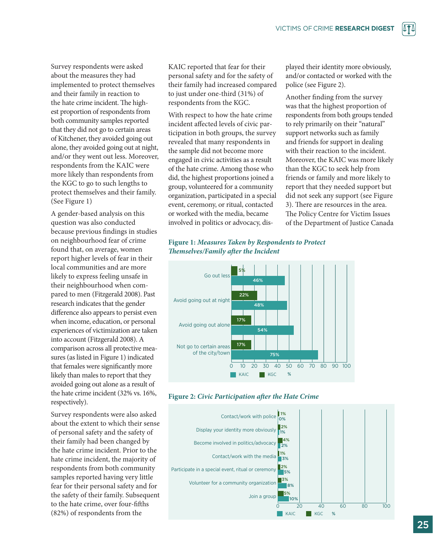Survey respondents were asked about the measures they had implemented to protect themselves and their family in reaction to the hate crime incident. The highest proportion of respondents from both community samples reported that they did not go to certain areas of Kitchener, they avoided going out alone, they avoided going out at night, and/or they went out less. Moreover, respondents from the KAIC were more likely than respondents from the KGC to go to such lengths to protect themselves and their family. (See Figure 1)

A gender-based analysis on this question was also conducted because previous findings in studies on neighbourhood fear of crime found that, on average, women report higher levels of fear in their local communities and are more likely to express feeling unsafe in their neighbourhood when compared to men (Fitzgerald 2008). Past research indicates that the gender difference also appears to persist even when income, education, or personal experiences of victimization are taken into account (Fitzgerald 2008). A comparison across all protective measures (as listed in Figure 1) indicated that females were significantly more likely than males to report that they avoided going out alone as a result of the hate crime incident (32% vs. 16%, respectively).

Survey respondents were also asked about the extent to which their sense of personal safety and the safety of their family had been changed by the hate crime incident. Prior to the hate crime incident, the majority of respondents from both community samples reported having very little fear for their personal safety and for the safety of their family. Subsequent to the hate crime, over four-fifths (82%) of respondents from the

KAIC reported that fear for their personal safety and for the safety of their family had increased compared to just under one-third (31%) of respondents from the KGC.

With respect to how the hate crime incident affected levels of civic participation in both groups, the survey revealed that many respondents in the sample did not become more engaged in civic activities as a result of the hate crime. Among those who did, the highest proportions joined a group, volunteered for a community organization, participated in a special event, ceremony, or ritual, contacted or worked with the media, became involved in politics or advocacy, displayed their identity more obviously, and/or contacted or worked with the police (see Figure 2).

Another finding from the survey was that the highest proportion of respondents from both groups tended to rely primarily on their "natural" support networks such as family and friends for support in dealing with their reaction to the incident. Moreover, the KAIC was more likely than the KGC to seek help from friends or family and more likely to report that they needed support but did not seek any support (see Figure 3). There are resources in the area. The Policy Centre for Victim Issues of the Department of Justice Canada

#### **Figure 1: Measures Taken by Respondents to Protect** *Themselves/Family after the Incident*





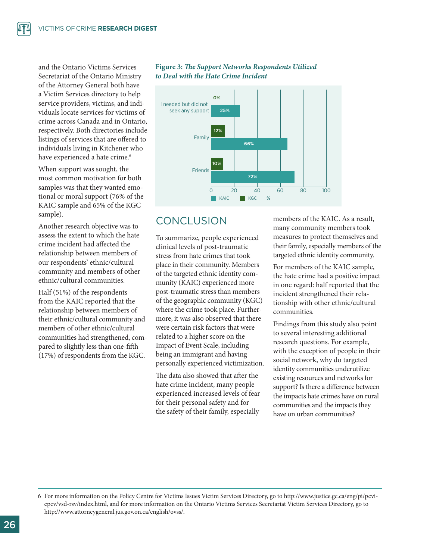and the Ontario Victims Services Secretariat of the Ontario Ministry of the Attorney General both have a Victim Services directory to help service providers, victims, and individuals locate services for victims of crime across Canada and in Ontario, respectively. Both directories include listings of services that are offered to individuals living in Kitchener who have experienced a hate crime.<sup>6</sup>

When support was sought, the most common motivation for both samples was that they wanted emotional or moral support (76% of the KAIC sample and 65% of the KGC sample).

Another research objective was to assess the extent to which the hate crime incident had affected the relationship between members of our respondents' ethnic/cultural community and members of other ethnic/cultural communities.

Half (51%) of the respondents from the KAIC reported that the relationship between members of their ethnic/cultural community and members of other ethnic/cultural communities had strengthened, compared to slightly less than one-fifth (17%) of respondents from the KGC.

#### Figure 3: The Support Networks Respondents Utilized *to Deal with the Hate Crime Incident*



## **CONCLUSION**

To summarize, people experienced clinical levels of post-traumatic stress from hate crimes that took place in their community. Members of the targeted ethnic identity community (KAIC) experienced more post-traumatic stress than members of the geographic community (KGC) where the crime took place. Furthermore, it was also observed that there were certain risk factors that were related to a higher score on the Impact of Event Scale, including being an immigrant and having personally experienced victimization.

The data also showed that after the hate crime incident, many people experienced increased levels of fear for their personal safety and for the safety of their family, especially

members of the KAIC. As a result, many community members took measures to protect themselves and their family, especially members of the targeted ethnic identity community.

For members of the KAIC sample, the hate crime had a positive impact in one regard: half reported that the incident strengthened their relationship with other ethnic/cultural communities.

Findings from this study also point to several interesting additional research questions. For example, with the exception of people in their social network, why do targeted identity communities underutilize existing resources and networks for support? Is there a difference between the impacts hate crimes have on rural communities and the impacts they have on urban communities?

6 For more information on the Policy Centre for Victims Issues Victim Services Directory, go to http://www.justice.gc.ca/eng/pi/pcvicpcv/vsd-rsv/index.html, and for more information on the Ontario Victims Services Secretariat Victim Services Directory, go to http://www.attorneygeneral.jus.gov.on.ca/english/ovss/.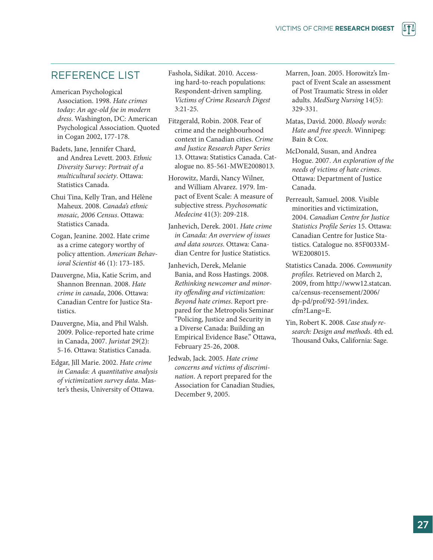## REFERENCE LIST

- American Psychological Association. 1998. *Hate crimes today: An age-old foe in modern dress*. Washington, DC: American Psychological Association. Quoted in Cogan 2002, 177-178.
- Badets, Jane, Jennifer Chard, and Andrea Levett. 2003. *Ethnic Diversity Survey: Portrait of a multicultural society*. Ottawa: Statistics Canada.
- Chui Tina, Kelly Tran, and Hélène Maheux. 2008. *Canada's ethnic mosaic, 2006 Census*. Ottawa: Statistics Canada.
- Cogan, Jeanine. 2002. Hate crime as a crime category worthy of policy attention. *American Behavioral Scientist* 46 (1): 173-185.
- Dauvergne, Mia, Katie Scrim, and Shannon Brennan. 2008. *Hate crime in canada*, 2006. Ottawa: Canadian Centre for Justice Statistics.
- Dauvergne, Mia, and Phil Walsh. 2009. Police-reported hate crime in Canada, 2007. *Juristat* 29(2): 5-16. Ottawa: Statistics Canada.
- Edgar, Jill Marie. 2002. *Hate crime in Canada: A quantitative analysis of victimization survey data*. Master's thesis, University of Ottawa.
- Fashola, Sidikat. 2010. Accessing hard-to-reach populations: Respondent-driven sampling. *Victims of Crime Research Digest* 3:21-25.
- Fitzgerald, Robin. 2008. Fear of crime and the neighbourhood context in Canadian cities. *Crime and Justice Research Paper Series* 13. Ottawa: Statistics Canada. Catalogue no. 85-561-MWE2008013.
- Horowitz, Mardi, Nancy Wilner, and William Alvarez. 1979. Impact of Event Scale: A measure of subjective stress. *Psychosomatic Medecine* 41(3): 209-218.
- Janhevich, Derek. 2001. *Hate crime in Canada: An overview of issues and data sources*. Ottawa: Canadian Centre for Justice Statistics.
- Janhevich, Derek, Melanie Bania, and Ross Hastings. 2008. *Rethinking newcomer and minority offending and victimization: Beyond hate crimes*. Report prepared for the Metropolis Seminar "Policing, Justice and Security in a Diverse Canada: Building an Empirical Evidence Base." Ottawa, February 25-26, 2008.
- Jedwab, Jack. 2005. *Hate crime concerns and victims of discrimination*. A report prepared for the Association for Canadian Studies, December 9, 2005.
- Marren, Joan. 2005. Horowitz's Impact of Event Scale an assessment of Post Traumatic Stress in older adults. *MedSurg Nursing* 14(5): 329-331.
- Matas, David. 2000. *Bloody words: Hate and free speech*. Winnipeg: Bain & Cox.
- McDonald, Susan, and Andrea Hogue. 2007. *An exploration of the needs of victims of hate crimes*. Ottawa: Department of Justice Canada.
- Perreault, Samuel. 2008. Visible minorities and victimization, 2004. *Canadian Centre for Justice Statistics Profile Series* 15. Ottawa: Canadian Centre for Justice Statistics. Catalogue no. 85F0033M-WE2008015.
- Statistics Canada. 2006. *Community profiles*. Retrieved on March 2, 2009, from http://www12.statcan. ca/census-recensement/2006/ dp-pd/prof/92-591/index. cfm?Lang=E.
- Yin, Robert K. 2008. *Case study research: Design and methods*. 4th ed. Thousand Oaks, California: Sage.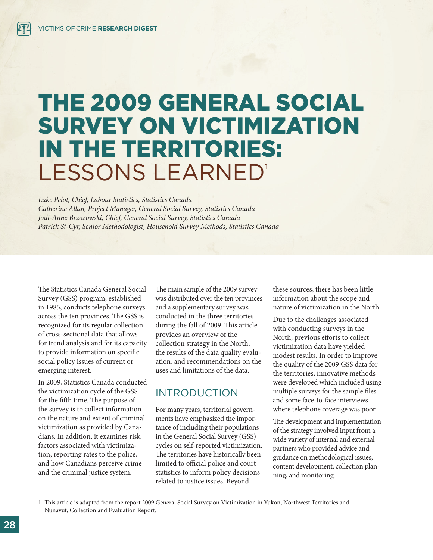## THE 2009 GENERAL SOCIAL SURVEY ON VICTIMIZATION IN THE TERRITORIES: LESSONS LEARNED'

*Luke Pelot, Chief, Labour Statistics, Statistics Canada Catherine Allan, Project Manager, General Social Survey, Statistics Canada Jodi-Anne Brzozowski, Chief, General Social Survey, Statistics Canada Patrick St-Cyr, Senior Methodologist, Household Survey Methods, Statistics Canada*

The Statistics Canada General Social Survey (GSS) program, established in 1985, conducts telephone surveys across the ten provinces. The GSS is recognized for its regular collection of cross-sectional data that allows for trend analysis and for its capacity to provide information on specific social policy issues of current or emerging interest.

In 2009, Statistics Canada conducted the victimization cycle of the GSS for the fifth time. The purpose of the survey is to collect information on the nature and extent of criminal victimization as provided by Canadians. In addition, it examines risk factors associated with victimization, reporting rates to the police, and how Canadians perceive crime and the criminal justice system.

The main sample of the 2009 survey was distributed over the ten provinces and a supplementary survey was conducted in the three territories during the fall of 2009. This article provides an overview of the collection strategy in the North, the results of the data quality evaluation, and recommendations on the uses and limitations of the data.

## INTRODUCTION

For many years, territorial governments have emphasized the importance of including their populations in the General Social Survey (GSS) cycles on self-reported victimization. The territories have historically been limited to official police and court statistics to inform policy decisions related to justice issues. Beyond

these sources, there has been little information about the scope and nature of victimization in the North.

Due to the challenges associated with conducting surveys in the North, previous efforts to collect victimization data have yielded modest results. In order to improve the quality of the 2009 GSS data for the territories, innovative methods were developed which included using multiple surveys for the sample files and some face-to-face interviews where telephone coverage was poor.

The development and implementation of the strategy involved input from a wide variety of internal and external partners who provided advice and guidance on methodological issues, content development, collection planning, and monitoring.

1 This article is adapted from the report 2009 General Social Survey on Victimization in Yukon, Northwest Territories and Nunavut, Collection and Evaluation Report.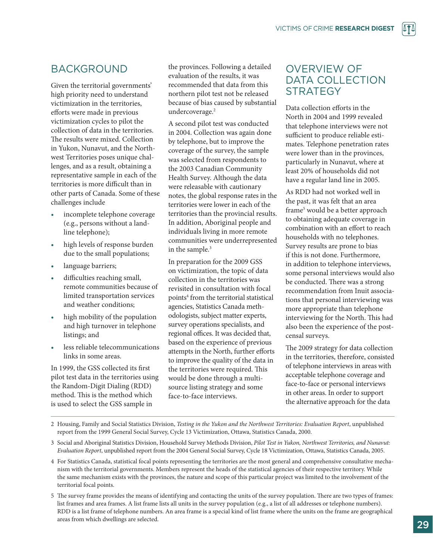## BACKGROUND

Given the territorial governments' high priority need to understand victimization in the territories, efforts were made in previous victimization cycles to pilot the collection of data in the territories. The results were mixed. Collection in Yukon, Nunavut, and the Northwest Territories poses unique challenges, and as a result, obtaining a representative sample in each of the territories is more difficult than in other parts of Canada. Some of these challenges include

- incomplete telephone coverage (e.g., persons without a landline telephone);
- high levels of response burden due to the small populations;
- language barriers;
- difficulties reaching small, remote communities because of limited transportation services and weather conditions;
- high mobility of the population and high turnover in telephone listings; and
- less reliable telecommunications links in some areas.

In 1999, the GSS collected its first pilot test data in the territories using the Random-Digit Dialing (RDD) method. This is the method which is used to select the GSS sample in

the provinces. Following a detailed evaluation of the results, it was recommended that data from this northern pilot test not be released because of bias caused by substantial undercoverage.<sup>2</sup>

A second pilot test was conducted in 2004. Collection was again done by telephone, but to improve the coverage of the survey, the sample was selected from respondents to the 2003 Canadian Community Health Survey. Although the data were releasable with cautionary notes, the global response rates in the territories were lower in each of the territories than the provincial results. In addition, Aboriginal people and individuals living in more remote communities were underrepresented in the sample.<sup>3</sup>

In preparation for the 2009 GSS on victimization, the topic of data collection in the territories was revisited in consultation with focal points4 from the territorial statistical agencies, Statistics Canada methodologists, subject matter experts, survey operations specialists, and regional offices. It was decided that, based on the experience of previous attempts in the North, further efforts to improve the quality of the data in the territories were required. This would be done through a multisource listing strategy and some face-to-face interviews.

## OVERVIEW OF DATA COLLECTION **STRATEGY**

Data collection efforts in the North in 2004 and 1999 revealed that telephone interviews were not sufficient to produce reliable estimates. Telephone penetration rates were lower than in the provinces, particularly in Nunavut, where at least 20% of households did not have a regular land line in 2005.

As RDD had not worked well in the past, it was felt that an area frame<sup>5</sup> would be a better approach to obtaining adequate coverage in combination with an effort to reach households with no telephones. Survey results are prone to bias if this is not done. Furthermore, in addition to telephone interviews, some personal interviews would also be conducted. There was a strong recommendation from Inuit associations that personal interviewing was more appropriate than telephone interviewing for the North. This had also been the experience of the postcensal surveys.

The 2009 strategy for data collection in the territories, therefore, consisted of telephone interviews in areas with acceptable telephone coverage and face-to-face or personal interviews in other areas. In order to support the alternative approach for the data

- 2 Housing, Family and Social Statistics Division, *Testing in the Yukon and the Northwest Territories: Evaluation Report*, unpublished report from the 1999 General Social Survey, Cycle 13 Victimization, Ottawa, Statistics Canada, 2000.
- 3 Social and Aboriginal Statistics Division, Household Survey Methods Division, *Pilot Test in Yukon, Northwest Territories, and Nunavut: Evaluation Report*, unpublished report from the 2004 General Social Survey, Cycle 18 Victimization, Ottawa, Statistics Canada, 2005.
- 4 For Statistics Canada, statistical focal points representing the territories are the most general and comprehensive consultative mechanism with the territorial governments. Members represent the heads of the statistical agencies of their respective territory. While the same mechanism exists with the provinces, the nature and scope of this particular project was limited to the involvement of the territorial focal points.
- 5 The survey frame provides the means of identifying and contacting the units of the survey population. There are two types of frames: list frames and area frames. A list frame lists all units in the survey population (e.g., a list of all addresses or telephone numbers). RDD is a list frame of telephone numbers. An area frame is a special kind of list frame where the units on the frame are geographical areas from which dwellings are selected.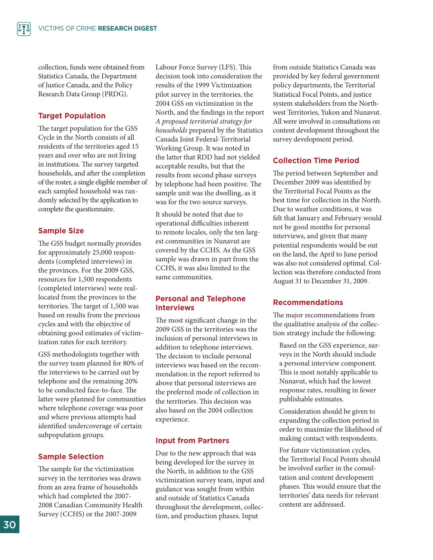collection, funds were obtained from Statistics Canada, the Department of Justice Canada, and the Policy Research Data Group (PRDG).

#### **Target Population**

The target population for the GSS Cycle in the North consists of all residents of the territories aged 15 years and over who are not living in institutions. The survey targeted households, and after the completion of the roster, a single eligible member of each sampled household was randomly selected by the application to complete the questionnaire.

#### **Sample Size**

The GSS budget normally provides for approximately 25,000 respondents (completed interviews) in the provinces. For the 2009 GSS, resources for 1,500 respondents (completed interviews) were reallocated from the provinces to the territories. The target of 1,500 was based on results from the previous cycles and with the objective of obtaining good estimates of victimization rates for each territory.

GSS methodologists together with the survey team planned for 80% of the interviews to be carried out by telephone and the remaining 20% to be conducted face-to-face. The latter were planned for communities where telephone coverage was poor and where previous attempts had identified undercoverage of certain subpopulation groups.

#### **Sample Selection**

The sample for the victimization survey in the territories was drawn from an area frame of households which had completed the 2007- 2008 Canadian Community Health Survey (CCHS) or the 2007-2009

Labour Force Survey (LFS). This decision took into consideration the results of the 1999 Victimization pilot survey in the territories, the 2004 GSS on victimization in the North, and the findings in the report *A proposed territorial strategy for households* prepared by the Statistics Canada Joint Federal-Territorial Working Group. It was noted in the latter that RDD had not yielded acceptable results, but that the results from second phase surveys by telephone had been positive. The sample unit was the dwelling, as it was for the two source surveys.

It should be noted that due to operational difficulties inherent to remote locales, only the ten largest communities in Nunavut are covered by the CCHS. As the GSS sample was drawn in part from the CCHS, it was also limited to the same communities.

#### **Personal and Telephone Interviews**

The most significant change in the 2009 GSS in the territories was the inclusion of personal interviews in addition to telephone interviews. The decision to include personal interviews was based on the recommendation in the report referred to above that personal interviews are the preferred mode of collection in the territories. This decision was also based on the 2004 collection experience.

#### **Input from Partners**

Due to the new approach that was being developed for the survey in the North, in addition to the GSS victimization survey team, input and guidance was sought from within and outside of Statistics Canada throughout the development, collection, and production phases. Input

from outside Statistics Canada was provided by key federal government policy departments, the Territorial Statistical Focal Points, and justice system stakeholders from the Northwest Territories, Yukon and Nunavut. All were involved in consultations on content development throughout the survey development period.

#### **Collection Time Period**

The period between September and December 2009 was identified by the Territorial Focal Points as the best time for collection in the North. Due to weather conditions, it was felt that January and February would not be good months for personal interviews, and given that many potential respondents would be out on the land, the April to June period was also not considered optimal. Collection was therefore conducted from August 31 to December 31, 2009.

#### **Recommendations**

The major recommendations from the qualitative analysis of the collection strategy include the following:

Based on the GSS experience, surveys in the North should include a personal interview component. This is most notably applicable to Nunavut, which had the lowest response rates, resulting in fewer publishable estimates.

Consideration should be given to expanding the collection period in order to maximize the likelihood of making contact with respondents.

For future victimization cycles, the Territorial Focal Points should be involved earlier in the consultation and content development phases. This would ensure that the territories' data needs for relevant content are addressed.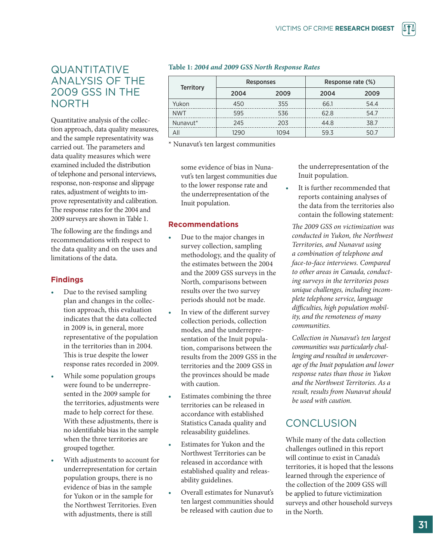## QUANTITATIVE ANALYSIS OF THE 2009 GSS IN THE NORTH

Quantitative analysis of the collection approach, data quality measures, and the sample representativity was carried out. The parameters and data quality measures which were examined included the distribution of telephone and personal interviews, response, non-response and slippage rates, adjustment of weights to improve representativity and calibration. The response rates for the 2004 and 2009 surveys are shown in Table 1.

The following are the findings and recommendations with respect to the data quality and on the uses and limitations of the data.

#### **Findings**

- Due to the revised sampling plan and changes in the collection approach, this evaluation indicates that the data collected in 2009 is, in general, more representative of the population in the territories than in 2004. This is true despite the lower response rates recorded in 2009.
- While some population groups were found to be underrepresented in the 2009 sample for the territories, adjustments were made to help correct for these. With these adjustments, there is no identifiable bias in the sample when the three territories are grouped together.
- With adjustments to account for underrepresentation for certain population groups, there is no evidence of bias in the sample for Yukon or in the sample for the Northwest Territories. Even with adjustments, there is still

#### **Table 1:** *2004 and 2009 GSS North Response Rates*

|                  |      | <b>Responses</b> | Response rate (%) |      |  |
|------------------|------|------------------|-------------------|------|--|
| <b>Territory</b> | 2004 | 2009             | 2004              | 2009 |  |
| Yukon            | 450  | 355              | 66.1              | 54.4 |  |
| <b>NWT</b>       | 595  | 536              | 62.8              | 54.7 |  |
| Nunavut*         | 245  | 203              | 44.8              | 38.7 |  |
| All              | 1290 | 1094             | 59.3              | 50.7 |  |

\* Nunavut's ten largest communities

some evidence of bias in Nunavut's ten largest communities due to the lower response rate and the underrepresentation of the Inuit population.

#### **Recommendations**

- Due to the major changes in survey collection, sampling methodology, and the quality of the estimates between the 2004 and the 2009 GSS surveys in the North, comparisons between results over the two survey periods should not be made.
- In view of the different survey collection periods, collection modes, and the underrepresentation of the Inuit population, comparisons between the results from the 2009 GSS in the territories and the 2009 GSS in the provinces should be made with caution.
- **Estimates combining the three** territories can be released in accordance with established Statistics Canada quality and releasability guidelines.
- *•*  Estimates for Yukon and the Northwest Territories can be released in accordance with established quality and releasability guidelines.
- Overall estimates for Nunavut's ten largest communities should be released with caution due to

the underrepresentation of the Inuit population.

It is further recommended that reports containing analyses of the data from the territories also contain the following statement:

*The 2009 GSS on victimization was conducted in Yukon, the Northwest Territories, and Nunavut using a combination of telephone and face-to-face interviews. Compared to other areas in Canada, conducting surveys in the territories poses unique challenges, including incomplete telephone service, language difficulties, high population mobility, and the remoteness of many communities.* 

*Collection in Nunavut's ten largest communities was particularly challenging and resulted in undercoverage of the Inuit population and lower response rates than those in Yukon and the Northwest Territories. As a result, results from Nunavut should be used with caution.* 

## **CONCLUSION**

While many of the data collection challenges outlined in this report will continue to exist in Canada's territories, it is hoped that the lessons learned through the experience of the collection of the 2009 GSS will be applied to future victimization surveys and other household surveys in the North.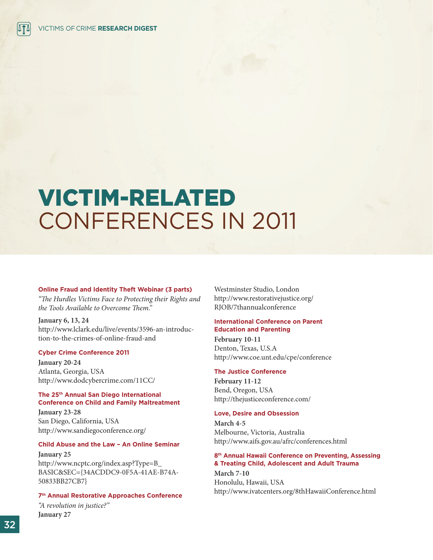## VICTIM-RELATED CONFERENCES IN 2011

#### **Online Fraud and Identity Theft Webinar (3 parts)**

*"The Hurdles Victims Face to Protecting their Rights and the Tools Available to Overcome Them."*

**January 6, 13, 24** http://www.lclark.edu/live/events/3596-an-introduction-to-the-crimes-of-online-fraud-and

#### **Cyber Crime Conference 2011**

**January 20-24** Atlanta, Georgia, USA http://www.dodcybercrime.com/11CC/

#### **The 25th Annual San Diego International Conference on Child and Family Maltreatment**

**January 23-28** San Diego, California, USA http://www.sandiegoconference.org/

#### **Child Abuse and the Law – An Online Seminar**

**January 25** http://www.ncptc.org/index.asp?Type=B\_ BASIC&SEC={34ACDDC9-0F5A-41AE-B74A-50833BB27CB7}

#### **7th Annual Restorative Approaches Conference**

*"A revolution in justice?"* **January 27**

Westminster Studio, London http://www.restorativejustice.org/ RJOB/7thannualconference

#### **International Conference on Parent Education and Parenting**

**February 10-11** Denton, Texas, U.S.A http://www.coe.unt.edu/cpe/conference

#### **The Justice Conference**

**February 11-12** Bend, Oregon, USA http://thejusticeconference.com/

#### **Love, Desire and Obsession**

**March 4-5** Melbourne, Victoria, Australia http://www.aifs.gov.au/afrc/conferences.html

#### **8th Annual Hawaii Conference on Preventing, Assessing & Treating Child, Adolescent and Adult Trauma**

**March 7-10** Honolulu, Hawaii, USA http://www.ivatcenters.org/8thHawaiiConference.html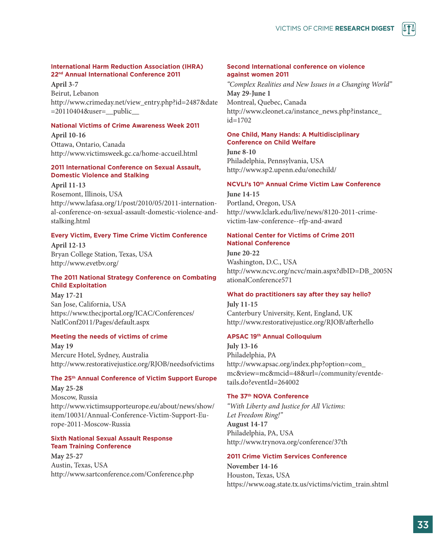#### **International Harm Reduction Association (IHRA) 22nd Annual International Conference 2011**

**April 3-7** Beirut, Lebanon http://www.crimeday.net/view\_entry.php?id=2487&date =20110404&user=\_\_public\_\_

#### **National Victims of Crime Awareness Week 2011**

**April 10-16** Ottawa, Ontario, Canada http://www.victimsweek.gc.ca/home-accueil.html

#### **2011 International Conference on Sexual Assault, Domestic Violence and Stalking**

**April 11-13** 

Rosemont, Illinois, USA http://www.lafasa.org/1/post/2010/05/2011-international-conference-on-sexual-assault-domestic-violence-andstalking.html

#### **Every Victim, Every Time Crime Victim Conference**

**April 12-13** Bryan College Station, Texas, USA http://www.evetbv.org/

#### **The 2011 National Strategy Conference on Combating Child Exploitation**

**May 17-21** San Jose, California, USA https://www.thecjportal.org/ICAC/Conferences/ NatlConf2011/Pages/default.aspx

#### **Meeting the needs of victims of crime**

**May 19** Mercure Hotel, Sydney, Australia http://www.restorativejustice.org/RJOB/needsofvictims

#### **The 25th Annual Conference of Victim Support Europe**

**May 25-28** Moscow, Russia http://www.victimsupporteurope.eu/about/news/show/ item/10031/Annual-Conference-Victim-Support-Europe-2011-Moscow-Russia

#### **Sixth National Sexual Assault Response Team Training Conference**

**May 25-27** Austin, Texas, USA http://www.sartconference.com/Conference.php

#### **Second International conference on violence against women 2011**

*"Complex Realities and New Issues in a Changing World"* **May 29-June 1** Montreal, Quebec, Canada http://www.cleonet.ca/instance\_news.php?instance\_ id=1702

#### **One Child, Many Hands: A Multidisciplinary Conference on Child Welfare**

**June 8-10** Philadelphia, Pennsylvania, USA http://www.sp2.upenn.edu/onechild/

#### **NCVLI's 10th Annual Crime Victim Law Conference**

**June 14-15** Portland, Oregon, USA http://www.lclark.edu/live/news/8120-2011-crimevictim-law-conference--rfp-and-award

#### **National Center for Victims of Crime 2011 National Conference**

**June 20-22** Washington, D.C., USA http://www.ncvc.org/ncvc/main.aspx?dbID=DB\_2005N ationalConference571

#### **What do practitioners say after they say hello?**

**July 11-15** Canterbury University, Kent, England, UK http://www.restorativejustice.org/RJOB/afterhello

#### **APSAC 19th Annual Colloquium**

**July 13-16** Philadelphia, PA http://www.apsac.org/index.php?option=com\_ mc&view=mc&mcid=48&url=/community/eventdetails.do?eventId=264002

#### **The 37th NOVA Conference**

*"With Liberty and Justice for All Victims: Let Freedom Ring!"* **August 14-17** Philadelphia, PA, USA http://www.trynova.org/conference/37th

#### **2011 Crime Victim Services Conference**

**November 14-16** Houston, Texas, USA https://www.oag.state.tx.us/victims/victim\_train.shtml